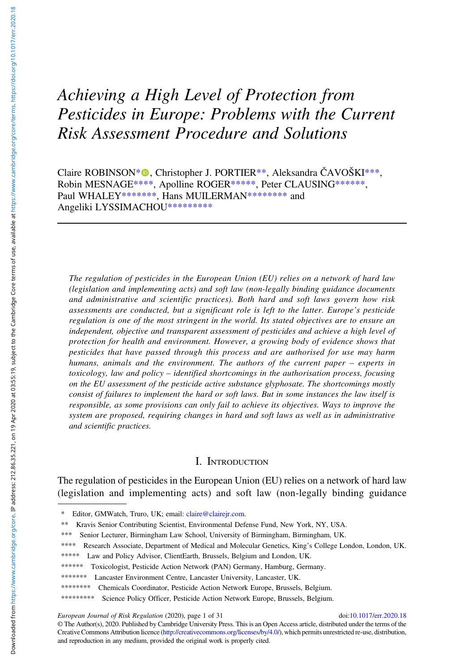# Achieving a High Level of Protection from Pesticides in Europe: Problems with the Current Risk Assessment Procedure and Solutions

Claire ROBINSON\*<sup>®</sup>, Christopher J. PORTIER\*\*, Aleksandra ČAVOŠKI\*\*\*, Robin MESNAGE\*\*\*\*, Apolline ROGER\*\*\*\*\*, Peter CLAUSING\*\*\*\*\*\*, Paul WHALEY\*\*\*\*\*\*\*\*, Hans MUILERMAN\*\*\*\*\*\*\*\*\* and Angeliki LYSSIMACHOU\*\*\*\*\*\*\*\*\*

The regulation of pesticides in the European Union (EU) relies on a network of hard law (legislation and implementing acts) and soft law (non-legally binding guidance documents and administrative and scientific practices). Both hard and soft laws govern how risk assessments are conducted, but a significant role is left to the latter. Europe's pesticide regulation is one of the most stringent in the world. Its stated objectives are to ensure an independent, objective and transparent assessment of pesticides and achieve a high level of protection for health and environment. However, a growing body of evidence shows that pesticides that have passed through this process and are authorised for use may harm humans, animals and the environment. The authors of the current paper – experts in toxicology, law and policy – identified shortcomings in the authorisation process, focusing on the EU assessment of the pesticide active substance glyphosate. The shortcomings mostly consist of failures to implement the hard or soft laws. But in some instances the law itself is responsible, as some provisions can only fail to achieve its objectives. Ways to improve the system are proposed, requiring changes in hard and soft laws as well as in administrative and scientific practices.

# I. INTRODUCTION

The regulation of pesticides in the European Union (EU) relies on a network of hard law (legislation and implementing acts) and soft law (non-legally binding guidance

European Journal of Risk Regulation (2020), page 1 of 31 doi:[10.1017/err.2020.18](https://doi.org/10.1017/err.2020.18)

Editor, GMWatch, Truro, UK; email: [claire@clairejr.com](mailto:claire@clairejr.com).

<sup>\*\*</sup> Kravis Senior Contributing Scientist, Environmental Defense Fund, New York, NY, USA.

<sup>\*\*\*</sup> Senior Lecturer, Birmingham Law School, University of Birmingham, Birmingham, UK.

<sup>\*\*\*\*</sup> Research Associate, Department of Medical and Molecular Genetics, King's College London, London, UK.

<sup>\*\*\*\*\*</sup> Law and Policy Advisor, ClientEarth, Brussels, Belgium and London, UK.

<sup>\*\*\*\*\*\*</sup> Toxicologist, Pesticide Action Network (PAN) Germany, Hamburg, Germany.

<sup>\*\*\*\*\*\*\*</sup> Lancaster Environment Centre, Lancaster University, Lancaster, UK.

<sup>\*\*\*\*\*\*\*\*</sup> Chemicals Coordinator, Pesticide Action Network Europe, Brussels, Belgium.

<sup>\*\*\*\*\*\*\*\*\*</sup> Science Policy Officer, Pesticide Action Network Europe, Brussels, Belgium.

<sup>©</sup> The Author(s), 2020. Published by Cambridge University Press. This is an Open Access article, distributed under the terms of the Creative Commons Attribution licence [\(http://creativecommons.org/licenses/by/4.0/](Undefined namespace prefix)), which permits unrestricted re-use, distribution, and reproduction in any medium, provided the original work is properly cited.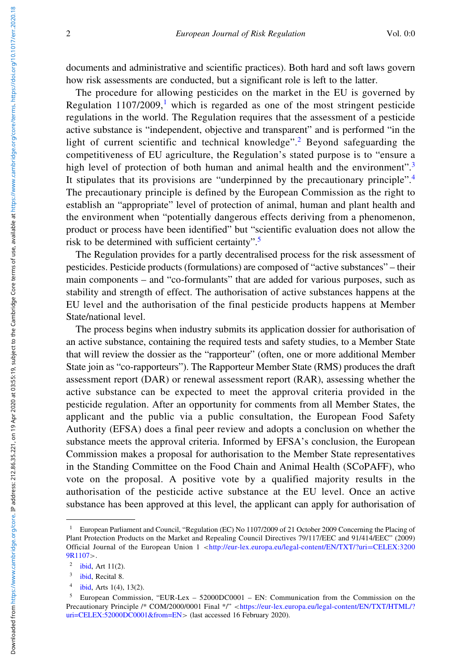documents and administrative and scientific practices). Both hard and soft laws govern how risk assessments are conducted, but a significant role is left to the latter.

The procedure for allowing pesticides on the market in the EU is governed by Regulation  $1107/2009$ ,<sup>1</sup> which is regarded as one of the most stringent pesticide regulations in the world. The Regulation requires that the assessment of a pesticide active substance is "independent, objective and transparent" and is performed "in the light of current scientific and technical knowledge".<sup>2</sup> Beyond safeguarding the competitiveness of EU agriculture, the Regulation's stated purpose is to "ensure a high level of protection of both human and animal health and the environment".<sup>3</sup> It stipulates that its provisions are "underpinned by the precautionary principle".<sup>4</sup> The precautionary principle is defined by the European Commission as the right to establish an "appropriate" level of protection of animal, human and plant health and the environment when "potentially dangerous effects deriving from a phenomenon, product or process have been identified" but "scientific evaluation does not allow the risk to be determined with sufficient certainty".<sup>5</sup>

The Regulation provides for a partly decentralised process for the risk assessment of pesticides. Pesticide products (formulations) are composed of "active substances" – their main components – and "co-formulants" that are added for various purposes, such as stability and strength of effect. The authorisation of active substances happens at the EU level and the authorisation of the final pesticide products happens at Member State/national level.

The process begins when industry submits its application dossier for authorisation of an active substance, containing the required tests and safety studies, to a Member State that will review the dossier as the "rapporteur" (often, one or more additional Member State join as "co-rapporteurs"). The Rapporteur Member State (RMS) produces the draft assessment report (DAR) or renewal assessment report (RAR), assessing whether the active substance can be expected to meet the approval criteria provided in the pesticide regulation. After an opportunity for comments from all Member States, the applicant and the public via a public consultation, the European Food Safety Authority (EFSA) does a final peer review and adopts a conclusion on whether the substance meets the approval criteria. Informed by EFSA's conclusion, the European Commission makes a proposal for authorisation to the Member State representatives in the Standing Committee on the Food Chain and Animal Health (SCoPAFF), who vote on the proposal. A positive vote by a qualified majority results in the authorisation of the pesticide active substance at the EU level. Once an active substance has been approved at this level, the applicant can apply for authorisation of

<sup>&</sup>lt;sup>1</sup> European Parliament and Council, "Regulation (EC) No 1107/2009 of 21 October 2009 Concerning the Placing of Plant Protection Products on the Market and Repealing Council Directives 79/117/EEC and 91/414/EEC" (2009) Official Journal of the European Union 1 <[http://eur-lex.europa.eu/legal-content/EN/TXT/?uri](http://eur-lex.europa.eu/legal-content/EN/TXT/?uri=CELEX:32009R1107)=[CELEX:3200](http://eur-lex.europa.eu/legal-content/EN/TXT/?uri=CELEX:32009R1107) [9R1107](http://eur-lex.europa.eu/legal-content/EN/TXT/?uri=CELEX:32009R1107)>.

 $2$  ibid, Art 11(2).

<sup>&</sup>lt;sup>3</sup> ibid, Recital 8.

 $4$  ibid, Arts 1(4), 13(2).

<sup>5</sup> European Commission, "EUR-Lex – 52000DC0001 – EN: Communication from the Commission on the Precautionary Principle /\* COM/2000/0001 Final \*/" <[https://eur-lex.europa.eu/legal-content/EN/TXT/HTML/?](https://eur-lex.europa.eu/legal-content/EN/TXT/HTML/?uri=CELEX:52000DC0001&from=EN) [uri=CELEX:52000DC0001&from=EN](https://eur-lex.europa.eu/legal-content/EN/TXT/HTML/?uri=CELEX:52000DC0001&from=EN)> (last accessed 16 February 2020).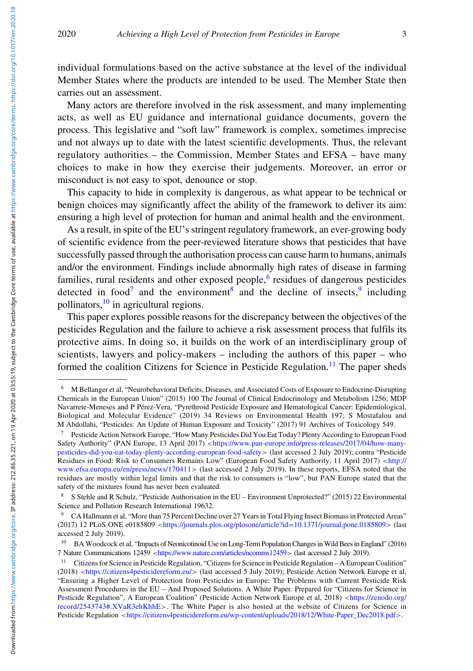individual formulations based on the active substance at the level of the individual Member States where the products are intended to be used. The Member State then carries out an assessment.

Many actors are therefore involved in the risk assessment, and many implementing acts, as well as EU guidance and international guidance documents, govern the process. This legislative and "soft law" framework is complex, sometimes imprecise and not always up to date with the latest scientific developments. Thus, the relevant regulatory authorities – the Commission, Member States and EFSA – have many choices to make in how they exercise their judgements. Moreover, an error or misconduct is not easy to spot, denounce or stop.

This capacity to hide in complexity is dangerous, as what appear to be technical or benign choices may significantly affect the ability of the framework to deliver its aim: ensuring a high level of protection for human and animal health and the environment.

As a result, in spite of the EU's stringent regulatory framework, an ever-growing body of scientific evidence from the peer-reviewed literature shows that pesticides that have successfully passed through the authorisation process can cause harm to humans, animals and/or the environment. Findings include abnormally high rates of disease in farming families, rural residents and other exposed people, $6$  residues of dangerous pesticides detected in food<sup>7</sup> and the environment<sup>8</sup> and the decline of insects,  $9$  including pollinators,10 in agricultural regions.

This paper explores possible reasons for the discrepancy between the objectives of the pesticides Regulation and the failure to achieve a risk assessment process that fulfils its protective aims. In doing so, it builds on the work of an interdisciplinary group of scientists, lawyers and policy-makers – including the authors of this paper – who formed the coalition Citizens for Science in Pesticide Regulation.<sup>11</sup> The paper sheds

<sup>6</sup> M Bellanger et al, "Neurobehavioral Deficits, Diseases, and Associated Costs of Exposure to Endocrine-Disrupting Chemicals in the European Union" (2015) 100 The Journal of Clinical Endocrinology and Metabolism 1256; MDP Navarrete-Meneses and P Pérez-Vera, "Pyrethroid Pesticide Exposure and Hematological Cancer: Epidemiological, Biological and Molecular Evidence" (2019) 34 Reviews on Environmental Health 197; S Mostafalou and M Abdollahi, "Pesticides: An Update of Human Exposure and Toxicity" (2017) 91 Archives of Toxicology 549.

<sup>7</sup> Pesticide Action Network Europe, "How Many Pesticides Did You Eat Today? Plenty According to European Food Safety Authority" (PAN Europe, 13 April 2017) <[https://www.pan-europe.info/press-releases/2017/04/how-many](https://www.pan-europe.info/press-releases/2017/04/how-many-pesticides-did-you-eat-today-plenty-according-european-food-safety)[pesticides-did-you-eat-today-plenty-according-european-food-safety](https://www.pan-europe.info/press-releases/2017/04/how-many-pesticides-did-you-eat-today-plenty-according-european-food-safety)> (last accessed 2 July 2019); contra "Pesticide Residues in Food: Risk to Consumers Remains Low" (European Food Safety Authority, 11 April 2017) <[http://](http://www.efsa.europa.eu/en/press/news/170411) [www.efsa.europa.eu/en/press/news/170411](http://www.efsa.europa.eu/en/press/news/170411)> (last accessed 2 July 2019). In these reports, EFSA noted that the residues are mostly within legal limits and that the risk to consumers is "low", but PAN Europe stated that the safety of the mixtures found has never been evaluated.

<sup>8</sup> S Stehle and R Schulz, "Pesticide Authorisation in the EU – Environment Unprotected?" (2015) 22 Environmental Science and Pollution Research International 19632.

CA Hallmann et al, "More than 75 Percent Decline over 27 Years in Total Flying Insect Biomass in Protected Areas" (2017) 12 PLoS ONE e0185809 <[https://journals.plos.org/plosone/article?id](https://journals.plos.org/plosone/article?id=10.1371/journal.pone.0185809)=[10.1371/journal.pone.0185809](https://journals.plos.org/plosone/article?id=10.1371/journal.pone.0185809)> (last accessed 2 July 2019).

<sup>&</sup>lt;sup>10</sup> BA Woodcock et al, "Impacts of Neonicotinoid Use on Long-Term Population Changes in Wild Bees in England" (2016) 7 Nature Communications 12459 <<https://www.nature.com/articles/ncomms12459>> (last accessed 2 July 2019).

<sup>&</sup>lt;sup>11</sup> Citizens for Science in Pesticide Regulation, "Citizens for Science in Pesticide Regulation – A European Coalition" (2018) <<https://citizens4pesticidereform.eu/>> (last accessed 5 July 2019); Pesticide Action Network Europe et al, "Ensuring a Higher Level of Protection from Pesticides in Europe: The Problems with Current Pesticide Risk Assessment Procedures in the EU – And Proposed Solutions. A White Paper. Prepared for "Citizens for Science in Pesticide Regulation", A European Coalition" (Pesticide Action Network Europe et al, 2018) <[https://zenodo.org/](https://zenodo.org/record/2543743#.XVaR3ehKhhE) [record/2543743#.XVaR3ehKhhE](https://zenodo.org/record/2543743#.XVaR3ehKhhE)>. The White Paper is also hosted at the website of Citizens for Science in Pesticide Regulation <[https://citizens4pesticidereform.eu/wp-content/uploads/2018/12/White-Paper\\_Dec2018.pdf](https://citizens4pesticidereform.eu/wp-content/uploads/2018/12/White-Paper_Dec2018.pdf)>.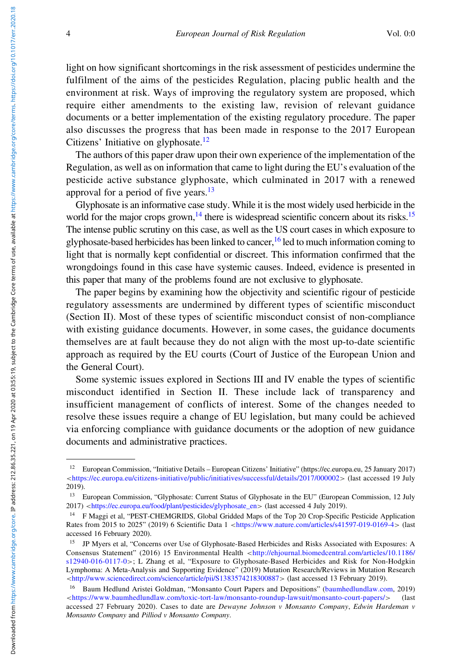light on how significant shortcomings in the risk assessment of pesticides undermine the fulfilment of the aims of the pesticides Regulation, placing public health and the environment at risk. Ways of improving the regulatory system are proposed, which require either amendments to the existing law, revision of relevant guidance documents or a better implementation of the existing regulatory procedure. The paper also discusses the progress that has been made in response to the 2017 European Citizens' Initiative on glyphosate.<sup>12</sup>

The authors of this paper draw upon their own experience of the implementation of the Regulation, as well as on information that came to light during the EU's evaluation of the pesticide active substance glyphosate, which culminated in 2017 with a renewed approval for a period of five years. $13$ 

Glyphosate is an informative case study. While it is the most widely used herbicide in the world for the major crops grown,<sup>14</sup> there is widespread scientific concern about its risks.<sup>15</sup> The intense public scrutiny on this case, as well as the US court cases in which exposure to glyphosate-based herbicides has been linked to cancer,  $^{16}$  led to much information coming to light that is normally kept confidential or discreet. This information confirmed that the wrongdoings found in this case have systemic causes. Indeed, evidence is presented in this paper that many of the problems found are not exclusive to glyphosate.

The paper begins by examining how the objectivity and scientific rigour of pesticide regulatory assessments are undermined by different types of scientific misconduct (Section II). Most of these types of scientific misconduct consist of non-compliance with existing guidance documents. However, in some cases, the guidance documents themselves are at fault because they do not align with the most up-to-date scientific approach as required by the EU courts (Court of Justice of the European Union and the General Court).

Some systemic issues explored in Sections III and IV enable the types of scientific misconduct identified in Section II. These include lack of transparency and insufficient management of conflicts of interest. Some of the changes needed to resolve these issues require a change of EU legislation, but many could be achieved via enforcing compliance with guidance documents or the adoption of new guidance documents and administrative practices.

<sup>12</sup> European Commission, "Initiative Details – European Citizens' Initiative" (https://ec.europa.eu, 25 January 2017)  $\langle$ <https://ec.europa.eu/citizens-initiative/public/initiatives/successful/details/2017/000002>> (last accessed 19 July 2019).

<sup>13</sup> European Commission, "Glyphosate: Current Status of Glyphosate in the EU" (European Commission, 12 July 2017) <[https://ec.europa.eu/food/plant/pesticides/glyphosate\\_en](https://ec.europa.eu/food/plant/pesticides/glyphosate_en)> (last accessed 4 July 2019).

<sup>&</sup>lt;sup>14</sup> F Maggi et al, "PEST-CHEMGRIDS, Global Gridded Maps of the Top 20 Crop-Specific Pesticide Application Rates from 2015 to 2025" (2019) 6 Scientific Data 1 <<https://www.nature.com/articles/s41597-019-0169-4>> (last accessed 16 February 2020).

<sup>&</sup>lt;sup>15</sup> JP Myers et al, "Concerns over Use of Glyphosate-Based Herbicides and Risks Associated with Exposures: A Consensus Statement" (2016) 15 Environmental Health <[http://ehjournal.biomedcentral.com/articles/10.1186/](http://ehjournal.biomedcentral.com/articles/10.1186/s12940-016-0117-0) [s12940-016-0117-0](http://ehjournal.biomedcentral.com/articles/10.1186/s12940-016-0117-0)>; L Zhang et al, "Exposure to Glyphosate-Based Herbicides and Risk for Non-Hodgkin Lymphoma: A Meta-Analysis and Supporting Evidence" (2019) Mutation Research/Reviews in Mutation Research <<http://www.sciencedirect.com/science/article/pii/S1383574218300887>> (last accessed 13 February 2019).

<sup>16</sup> Baum Hedlund Aristei Goldman, "Monsanto Court Papers and Depositions" [\(baumhedlundlaw.com,](baumhedlundlaw.com) 2019)  $\n <$ <https://www.baumhedlundlaw.com/toxic-tort-law/monsanto-roundup-lawsuit/monsanto-court-papers/>> (last accessed 27 February 2020). Cases to date are Dewayne Johnson v Monsanto Company, Edwin Hardeman v Monsanto Company and Pilliod v Monsanto Company.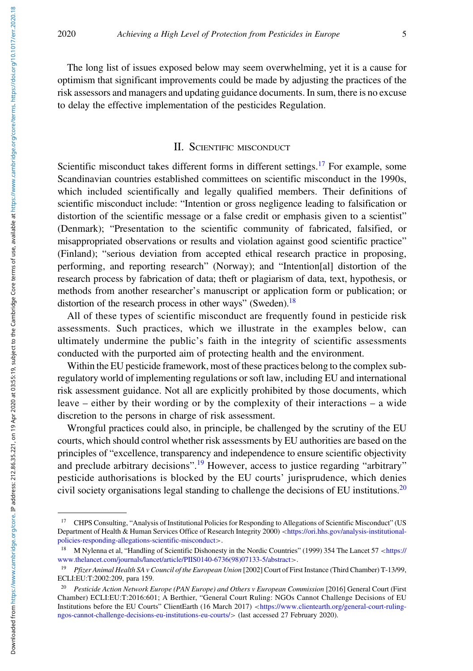Downloaded from https://www.cambridge.org/core. IP address: 2128635.221, on 19 Apr 2020 at 03:55:19, subject to the Cambridge Core terms of use, available at https://www.cambridge.org/core/terms//doi.org/10.1017/err.2020.1 Downloaded from https://www.cambridge.org/core. IP address: 21286.35.221, on 19 Apr 2020 at 03:55:19, subject to the Cambridge Core terms of use, available at https://www.cambridge.org/clon.org/10.1017/err.2020.18

# II. SCIENTIFIC MISCONDUCT

Scientific misconduct takes different forms in different settings.<sup>17</sup> For example, some Scandinavian countries established committees on scientific misconduct in the 1990s, which included scientifically and legally qualified members. Their definitions of scientific misconduct include: "Intention or gross negligence leading to falsification or distortion of the scientific message or a false credit or emphasis given to a scientist" (Denmark); "Presentation to the scientific community of fabricated, falsified, or misappropriated observations or results and violation against good scientific practice" (Finland); "serious deviation from accepted ethical research practice in proposing, performing, and reporting research" (Norway); and "Intention[al] distortion of the research process by fabrication of data; theft or plagiarism of data, text, hypothesis, or methods from another researcher's manuscript or application form or publication; or distortion of the research process in other ways" (Sweden). $^{18}$ 

All of these types of scientific misconduct are frequently found in pesticide risk assessments. Such practices, which we illustrate in the examples below, can ultimately undermine the public's faith in the integrity of scientific assessments conducted with the purported aim of protecting health and the environment.

Within the EU pesticide framework, most of these practices belong to the complex subregulatory world of implementing regulations or soft law, including EU and international risk assessment guidance. Not all are explicitly prohibited by those documents, which leave – either by their wording or by the complexity of their interactions – a wide discretion to the persons in charge of risk assessment.

Wrongful practices could also, in principle, be challenged by the scrutiny of the EU courts, which should control whether risk assessments by EU authorities are based on the principles of "excellence, transparency and independence to ensure scientific objectivity and preclude arbitrary decisions".<sup>19</sup> However, access to justice regarding "arbitrary" pesticide authorisations is blocked by the EU courts' jurisprudence, which denies civil society organisations legal standing to challenge the decisions of EU institutions.<sup>20</sup>

<sup>&</sup>lt;sup>17</sup> CHPS Consulting, "Analysis of Institutional Policies for Responding to Allegations of Scientific Misconduct" (US Department of Health & Human Services Office of Research Integrity 2000) <[https://ori.hhs.gov/analysis-institutional](https://ori.hhs.gov/analysis-institutional-policies-responding-allegations-scientific-misconduct)[policies-responding-allegations-scientific-misconduct](https://ori.hhs.gov/analysis-institutional-policies-responding-allegations-scientific-misconduct)>.

<sup>&</sup>lt;sup>18</sup> M Nylenna et al, "Handling of Scientific Dishonesty in the Nordic Countries" (1999) 354 The Lancet 57 <[https://](https://www.thelancet.com/journals/lancet/article/PIIS0140-6736(98)07133-5/abstract) [www.thelancet.com/journals/lancet/article/PIIS0140-6736\(98\)07133-5/abstract](https://www.thelancet.com/journals/lancet/article/PIIS0140-6736(98)07133-5/abstract)>.

<sup>&</sup>lt;sup>19</sup> Pfizer Animal Health SA v Council of the European Union [2002] Court of First Instance (Third Chamber) T-13/99, ECLI:EU:T:2002:209, para 159.

<sup>&</sup>lt;sup>20</sup> Pesticide Action Network Europe (PAN Europe) and Others v European Commission [2016] General Court (First Chamber) ECLI:EU:T:2016:601; A Berthier, "General Court Ruling: NGOs Cannot Challenge Decisions of EU Institutions before the EU Courts" ClientEarth (16 March 2017) <[https://www.clientearth.org/general-court-ruling](https://www.clientearth.org/general-court-ruling-ngos-cannot-challenge-decisions-eu-institutions-eu-courts/)[ngos-cannot-challenge-decisions-eu-institutions-eu-courts/](https://www.clientearth.org/general-court-ruling-ngos-cannot-challenge-decisions-eu-institutions-eu-courts/)> (last accessed 27 February 2020).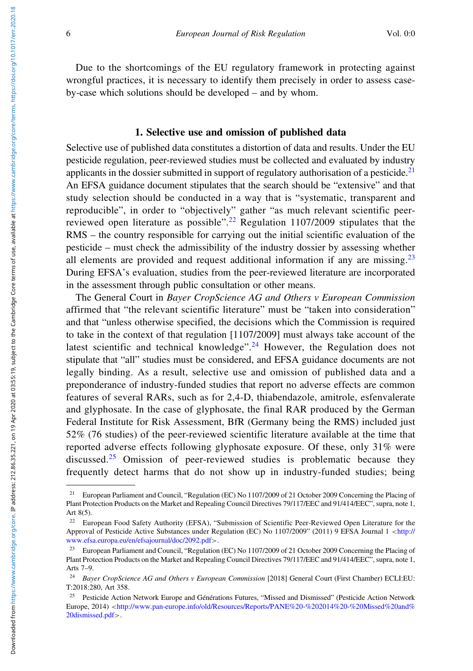Due to the shortcomings of the EU regulatory framework in protecting against wrongful practices, it is necessary to identify them precisely in order to assess caseby-case which solutions should be developed – and by whom.

## 1. Selective use and omission of published data

Selective use of published data constitutes a distortion of data and results. Under the EU pesticide regulation, peer-reviewed studies must be collected and evaluated by industry applicants in the dossier submitted in support of regulatory authorisation of a pesticide.<sup>21</sup> An EFSA guidance document stipulates that the search should be "extensive" and that study selection should be conducted in a way that is "systematic, transparent and reproducible", in order to "objectively" gather "as much relevant scientific peerreviewed open literature as possible".<sup>22</sup> Regulation 1107/2009 stipulates that the RMS – the country responsible for carrying out the initial scientific evaluation of the pesticide – must check the admissibility of the industry dossier by assessing whether all elements are provided and request additional information if any are missing.<sup>23</sup> During EFSA's evaluation, studies from the peer-reviewed literature are incorporated in the assessment through public consultation or other means.

The General Court in Bayer CropScience AG and Others v European Commission affirmed that "the relevant scientific literature" must be "taken into consideration" and that "unless otherwise specified, the decisions which the Commission is required to take in the context of that regulation [1107/2009] must always take account of the latest scientific and technical knowledge".<sup>24</sup> However, the Regulation does not stipulate that "all" studies must be considered, and EFSA guidance documents are not legally binding. As a result, selective use and omission of published data and a preponderance of industry-funded studies that report no adverse effects are common features of several RARs, such as for 2,4-D, thiabendazole, amitrole, esfenvalerate and glyphosate. In the case of glyphosate, the final RAR produced by the German Federal Institute for Risk Assessment, BfR (Germany being the RMS) included just 52% (76 studies) of the peer-reviewed scientific literature available at the time that reported adverse effects following glyphosate exposure. Of these, only 31% were discussed.<sup>25</sup> Omission of peer-reviewed studies is problematic because they frequently detect harms that do not show up in industry-funded studies; being

<sup>&</sup>lt;sup>21</sup> European Parliament and Council, "Regulation (EC) No 1107/2009 of 21 October 2009 Concerning the Placing of Plant Protection Products on the Market and Repealing Council Directives 79/117/EEC and 91/414/EEC", supra, note 1, Art 8(5).

<sup>&</sup>lt;sup>22</sup> European Food Safety Authority (EFSA), "Submission of Scientific Peer-Reviewed Open Literature for the Approval of Pesticide Active Substances under Regulation (EC) No 1107/2009" (2011) 9 EFSA Journal 1 <[http://](http://www.efsa.europa.eu/en/efsajournal/doc/2092.pdf) [www.efsa.europa.eu/en/efsajournal/doc/2092.pdf](http://www.efsa.europa.eu/en/efsajournal/doc/2092.pdf)>.

<sup>&</sup>lt;sup>23</sup> European Parliament and Council, "Regulation (EC) No 1107/2009 of 21 October 2009 Concerning the Placing of Plant Protection Products on the Market and Repealing Council Directives 79/117/EEC and 91/414/EEC", supra, note 1, Arts 7–9.

<sup>&</sup>lt;sup>24</sup> Bayer CropScience AG and Others v European Commission [2018] General Court (First Chamber) ECLI:EU: T:2018:280, Art 358.

<sup>25</sup> Pesticide Action Network Europe and Générations Futures, "Missed and Dismissed" (Pesticide Action Network Europe, 2014) <[http://www.pan-europe.info/old/Resources/Reports/PANE%20-%202014%20-%20Missed%20and%](http://www.pan-europe.info/old/Resources/Reports/PANE%20-%202014%20-%20Missed%20and%20dismissed.pdf) [20dismissed.pdf](http://www.pan-europe.info/old/Resources/Reports/PANE%20-%202014%20-%20Missed%20and%20dismissed.pdf)>.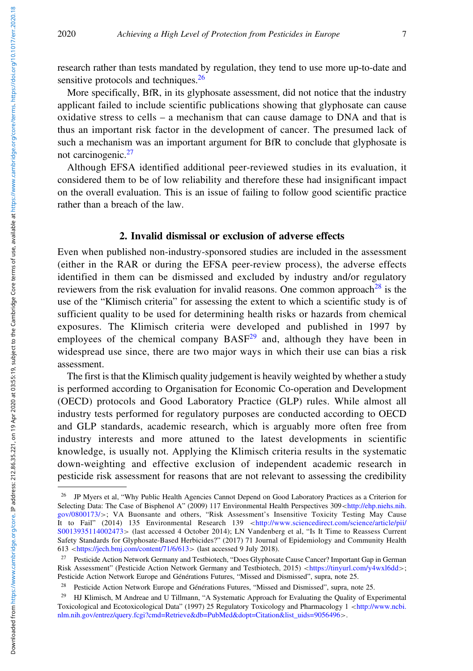research rather than tests mandated by regulation, they tend to use more up-to-date and sensitive protocols and techniques.<sup>26</sup>

More specifically, BfR, in its glyphosate assessment, did not notice that the industry applicant failed to include scientific publications showing that glyphosate can cause oxidative stress to cells  $-$  a mechanism that can cause damage to DNA and that is thus an important risk factor in the development of cancer. The presumed lack of such a mechanism was an important argument for BfR to conclude that glyphosate is not carcinogenic.<sup>27</sup>

Although EFSA identified additional peer-reviewed studies in its evaluation, it considered them to be of low reliability and therefore these had insignificant impact on the overall evaluation. This is an issue of failing to follow good scientific practice rather than a breach of the law.

# 2. Invalid dismissal or exclusion of adverse effects

Even when published non-industry-sponsored studies are included in the assessment (either in the RAR or during the EFSA peer-review process), the adverse effects identified in them can be dismissed and excluded by industry and/or regulatory reviewers from the risk evaluation for invalid reasons. One common approach<sup>28</sup> is the use of the "Klimisch criteria" for assessing the extent to which a scientific study is of sufficient quality to be used for determining health risks or hazards from chemical exposures. The Klimisch criteria were developed and published in 1997 by employees of the chemical company  $BASF<sup>29</sup>$  and, although they have been in widespread use since, there are two major ways in which their use can bias a risk assessment.

The first is that the Klimisch quality judgement is heavily weighted by whether a study is performed according to Organisation for Economic Co-operation and Development (OECD) protocols and Good Laboratory Practice (GLP) rules. While almost all industry tests performed for regulatory purposes are conducted according to OECD and GLP standards, academic research, which is arguably more often free from industry interests and more attuned to the latest developments in scientific knowledge, is usually not. Applying the Klimisch criteria results in the systematic down-weighting and effective exclusion of independent academic research in pesticide risk assessment for reasons that are not relevant to assessing the credibility

<sup>&</sup>lt;sup>26</sup> JP Myers et al, "Why Public Health Agencies Cannot Depend on Good Laboratory Practices as a Criterion for Selecting Data: The Case of Bisphenol A" (2009) 117 Environmental Health Perspectives 309 <[http://ehp.niehs.nih.](http://ehp.niehs.nih.gov/0800173/) [gov/0800173/](http://ehp.niehs.nih.gov/0800173/)>; VA Buonsante and others, "Risk Assessment's Insensitive Toxicity Testing May Cause It to Fail" (2014) 135 Environmental Research 139 <[http://www.sciencedirect.com/science/article/pii/](http://www.sciencedirect.com/science/article/pii/S0013935114002473) [S0013935114002473](http://www.sciencedirect.com/science/article/pii/S0013935114002473)> (last accessed 4 October 2014); LN Vandenberg et al, "Is It Time to Reassess Current Safety Standards for Glyphosate-Based Herbicides?" (2017) 71 Journal of Epidemiology and Community Health 613 <<https://jech.bmj.com/content/71/6/613>> (last accessed 9 July 2018).

<sup>&</sup>lt;sup>27</sup> Pesticide Action Network Germany and Testbiotech, "Does Glyphosate Cause Cancer? Important Gap in German Risk Assessment" (Pesticide Action Network Germany and Testbiotech, 2015) <<https://tinyurl.com/y4wxl6dd>>; Pesticide Action Network Europe and Générations Futures, "Missed and Dismissed", supra, note 25.

<sup>&</sup>lt;sup>28</sup> Pesticide Action Network Europe and Générations Futures, "Missed and Dismissed", supra, note 25.

<sup>&</sup>lt;sup>29</sup> HJ Klimisch, M Andreae and U Tillmann, "A Systematic Approach for Evaluating the Quality of Experimental Toxicological and Ecotoxicological Data" (1997) 25 Regulatory Toxicology and Pharmacology 1 <[http://www.ncbi.](http://www.ncbi.nlm.nih.gov/entrez/query.fcgi?cmd=Retrieve&db=PubMed&dopt=Citation&list_uids=9056496) [nlm.nih.gov/entrez/query.fcgi?cmd=Retrieve&db=PubMed&dopt=Citation&list\\_uids=9056496](http://www.ncbi.nlm.nih.gov/entrez/query.fcgi?cmd=Retrieve&db=PubMed&dopt=Citation&list_uids=9056496)>.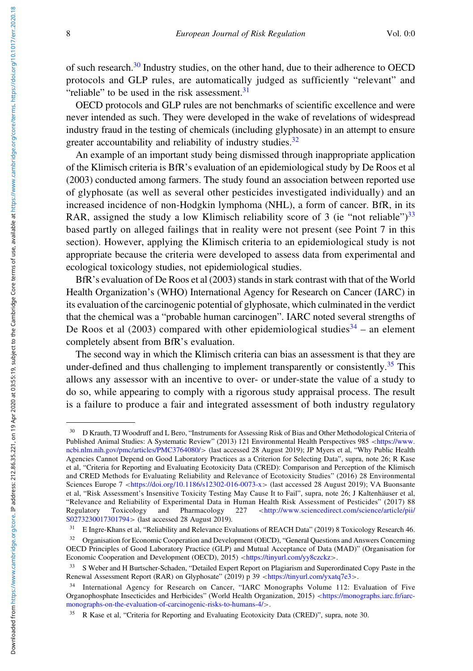of such research.<sup>30</sup> Industry studies, on the other hand, due to their adherence to OECD protocols and GLP rules, are automatically judged as sufficiently "relevant" and "reliable" to be used in the risk assessment. $31$ 

OECD protocols and GLP rules are not benchmarks of scientific excellence and were never intended as such. They were developed in the wake of revelations of widespread industry fraud in the testing of chemicals (including glyphosate) in an attempt to ensure greater accountability and reliability of industry studies.<sup>32</sup>

An example of an important study being dismissed through inappropriate application of the Klimisch criteria is BfR's evaluation of an epidemiological study by De Roos et al (2003) conducted among farmers. The study found an association between reported use of glyphosate (as well as several other pesticides investigated individually) and an increased incidence of non-Hodgkin lymphoma (NHL), a form of cancer. BfR, in its RAR, assigned the study a low Klimisch reliability score of 3 (ie "not reliable") $33$ based partly on alleged failings that in reality were not present (see Point 7 in this section). However, applying the Klimisch criteria to an epidemiological study is not appropriate because the criteria were developed to assess data from experimental and ecological toxicology studies, not epidemiological studies.

BfR's evaluation of De Roos et al (2003) stands in stark contrast with that of the World Health Organization's (WHO) International Agency for Research on Cancer (IARC) in its evaluation of the carcinogenic potential of glyphosate, which culminated in the verdict that the chemical was a "probable human carcinogen". IARC noted several strengths of De Roos et al (2003) compared with other epidemiological studies<sup>34</sup> – an element completely absent from BfR's evaluation.

The second way in which the Klimisch criteria can bias an assessment is that they are under-defined and thus challenging to implement transparently or consistently.<sup>35</sup> This allows any assessor with an incentive to over- or under-state the value of a study to do so, while appearing to comply with a rigorous study appraisal process. The result is a failure to produce a fair and integrated assessment of both industry regulatory

<sup>&</sup>lt;sup>30</sup> D Krauth, TJ Woodruff and L Bero, "Instruments for Assessing Risk of Bias and Other Methodological Criteria of Published Animal Studies: A Systematic Review" (2013) 121 Environmental Health Perspectives 985 <[https://www.](https://www.ncbi.nlm.nih.gov/pmc/articles/PMC3764080/) [ncbi.nlm.nih.gov/pmc/articles/PMC3764080/](https://www.ncbi.nlm.nih.gov/pmc/articles/PMC3764080/)> (last accessed 28 August 2019); JP Myers et al, "Why Public Health Agencies Cannot Depend on Good Laboratory Practices as a Criterion for Selecting Data", supra, note 26; R Kase et al, "Criteria for Reporting and Evaluating Ecotoxicity Data (CRED): Comparison and Perception of the Klimisch and CRED Methods for Evaluating Reliability and Relevance of Ecotoxicity Studies" (2016) 28 Environmental Sciences Europe 7 <<https://doi.org/10.1186/s12302-016-0073-x>> (last accessed 28 August 2019); VA Buonsante et al, "Risk Assessment's Insensitive Toxicity Testing May Cause It to Fail", supra, note 26; J Kaltenhäuser et al, "Relevance and Reliability of Experimental Data in Human Health Risk Assessment of Pesticides" (2017) 88  $\kappa$ [http://www.sciencedirect.com/science/article/pii/](http://www.sciencedirect.com/science/article/pii/S0273230017301794) [S0273230017301794](http://www.sciencedirect.com/science/article/pii/S0273230017301794)> (last accessed 28 August 2019).

<sup>&</sup>lt;sup>31</sup> E Ingre-Khans et al, "Reliability and Relevance Evaluations of REACH Data" (2019) 8 Toxicology Research 46.

<sup>&</sup>lt;sup>32</sup> Organisation for Economic Cooperation and Development (OECD), "General Questions and Answers Concerning OECD Principles of Good Laboratory Practice (GLP) and Mutual Acceptance of Data (MAD)" (Organisation for Economic Cooperation and Development (OECD), 2015) <<https://tinyurl.com/yy8czckz>>.

<sup>&</sup>lt;sup>33</sup> S Weber and H Burtscher-Schaden, "Detailed Expert Report on Plagiarism and Superordinated Copy Paste in the Renewal Assessment Report (RAR) on Glyphosate" (2019) p 39 <<https://tinyurl.com/yxatq7e3>>.

<sup>34</sup> International Agency for Research on Cancer, "IARC Monographs Volume 112: Evaluation of Five Organophosphate Insecticides and Herbicides" (World Health Organization, 2015) <[https://monographs.iarc.fr/iarc](https://monographs.iarc.fr/iarc-monographs-on-the-evaluation-of-carcinogenic-risks-to-humans-4/)[monographs-on-the-evaluation-of-carcinogenic-risks-to-humans-4/](https://monographs.iarc.fr/iarc-monographs-on-the-evaluation-of-carcinogenic-risks-to-humans-4/)>.

<sup>35</sup> R Kase et al, "Criteria for Reporting and Evaluating Ecotoxicity Data (CRED)", supra, note 30.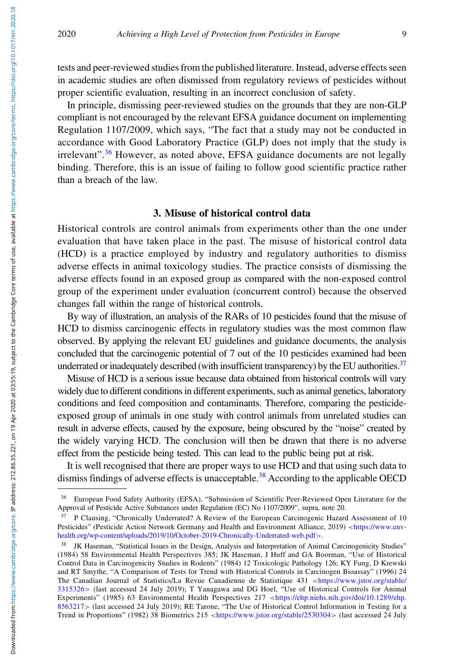Downloaded from https://www.cambridge.org/core. IP address: 21286.35.221, on 19 Apr 2020 at 03:55:19, subject to the Cambridge Core terms of use, available at https://www.cambridge.org/core/terms//doi.org/10.1017/err.2020. Downloaded from https://www.cambridge.org/core. IP address: 21286.35.221, on 19 Apr 2020 at 03:55:19, subject to the Cambridge Core terms of use, available at https://www.cambridge.org/clon.org/10.1017/err.2020.18

tests and peer-reviewed studies from the published literature. Instead, adverse effects seen in academic studies are often dismissed from regulatory reviews of pesticides without proper scientific evaluation, resulting in an incorrect conclusion of safety.

In principle, dismissing peer-reviewed studies on the grounds that they are non-GLP compliant is not encouraged by the relevant EFSA guidance document on implementing Regulation 1107/2009, which says, "The fact that a study may not be conducted in accordance with Good Laboratory Practice (GLP) does not imply that the study is irrelevant".<sup>36</sup> However, as noted above, EFSA guidance documents are not legally binding. Therefore, this is an issue of failing to follow good scientific practice rather than a breach of the law.

# 3. Misuse of historical control data

Historical controls are control animals from experiments other than the one under evaluation that have taken place in the past. The misuse of historical control data (HCD) is a practice employed by industry and regulatory authorities to dismiss adverse effects in animal toxicology studies. The practice consists of dismissing the adverse effects found in an exposed group as compared with the non-exposed control group of the experiment under evaluation (concurrent control) because the observed changes fall within the range of historical controls.

By way of illustration, an analysis of the RARs of 10 pesticides found that the misuse of HCD to dismiss carcinogenic effects in regulatory studies was the most common flaw observed. By applying the relevant EU guidelines and guidance documents, the analysis concluded that the carcinogenic potential of 7 out of the 10 pesticides examined had been underrated or inadequately described (with insufficient transparency) by the EU authorities.<sup>37</sup>

Misuse of HCD is a serious issue because data obtained from historical controls will vary widely due to different conditions in different experiments, such as animal genetics, laboratory conditions and feed composition and contaminants. Therefore, comparing the pesticideexposed group of animals in one study with control animals from unrelated studies can result in adverse effects, caused by the exposure, being obscured by the "noise" created by the widely varying HCD. The conclusion will then be drawn that there is no adverse effect from the pesticide being tested. This can lead to the public being put at risk.

It is well recognised that there are proper ways to use HCD and that using such data to dismiss findings of adverse effects is unacceptable.<sup>38</sup> According to the applicable OECD

<sup>36</sup> European Food Safety Authority (EFSA), "Submission of Scientific Peer-Reviewed Open Literature for the Approval of Pesticide Active Substances under Regulation (EC) No 1107/2009", supra, note 20.

<sup>&</sup>lt;sup>37</sup> P Clausing, "Chronically Underrated? A Review of the European Carcinogenic Hazard Assessment of 10 Pesticides" (Pesticide Action Network Germany and Health and Environment Alliance, 2019) <[https://www.env](https://www.env-health.org/wp-content/uploads/2019/10/October-2019-Chronically-Underrated-web.pdf)[health.org/wp-content/uploads/2019/10/October-2019-Chronically-Underrated-web.pdf](https://www.env-health.org/wp-content/uploads/2019/10/October-2019-Chronically-Underrated-web.pdf)>.

<sup>&</sup>lt;sup>38</sup> JK Haseman, "Statistical Issues in the Design, Analysis and Interpretation of Animal Carcinogenicity Studies" (1984) 58 Environmental Health Perspectives 385; JK Haseman, J Huff and GA Boorman, "Use of Historical Control Data in Carcinogenicity Studies in Rodents" (1984) 12 Toxicologic Pathology 126; KY Fung, D Krewski and RT Smythe, "A Comparison of Tests for Trend with Historical Controls in Carcinogen Bioassay" (1996) 24 The Canadian Journal of Statistics/La Revue Canadienne de Statistique 431 <[https://www.jstor.org/stable/](https://www.jstor.org/stable/3315326) [3315326](https://www.jstor.org/stable/3315326)> (last accessed 24 July 2019); T Yanagawa and DG Hoel, "Use of Historical Controls for Animal Experiments" (1985) 63 Environmental Health Perspectives 217 <[https://ehp.niehs.nih.gov/doi/10.1289/ehp.](https://ehp.niehs.nih.gov/doi/10.1289/ehp.8563217) [8563217](https://ehp.niehs.nih.gov/doi/10.1289/ehp.8563217)> (last accessed 24 July 2019); RE Tarone, "The Use of Historical Control Information in Testing for a Trend in Proportions" (1982) 38 Biometrics 215 <<https://www.jstor.org/stable/2530304>> (last accessed 24 July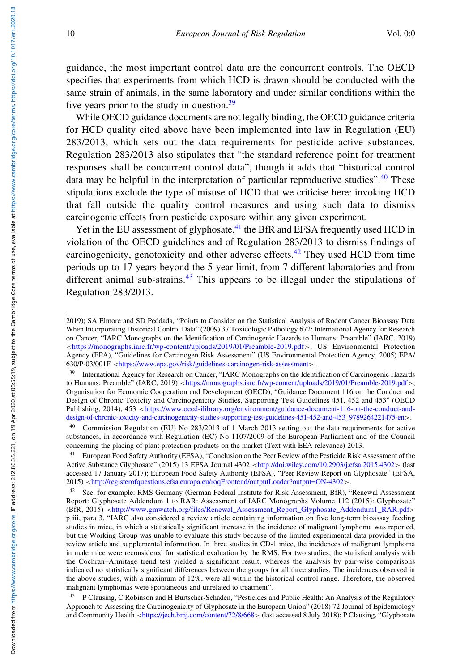guidance, the most important control data are the concurrent controls. The OECD specifies that experiments from which HCD is drawn should be conducted with the same strain of animals, in the same laboratory and under similar conditions within the five years prior to the study in question. $39$ 

While OECD guidance documents are not legally binding, the OECD guidance criteria for HCD quality cited above have been implemented into law in Regulation (EU) 283/2013, which sets out the data requirements for pesticide active substances. Regulation 283/2013 also stipulates that "the standard reference point for treatment responses shall be concurrent control data", though it adds that "historical control data may be helpful in the interpretation of particular reproductive studies".<sup>40</sup> These stipulations exclude the type of misuse of HCD that we criticise here: invoking HCD that fall outside the quality control measures and using such data to dismiss carcinogenic effects from pesticide exposure within any given experiment.

Yet in the EU assessment of glyphosate, $41$  the BfR and EFSA frequently used HCD in violation of the OECD guidelines and of Regulation 283/2013 to dismiss findings of carcinogenicity, genotoxicity and other adverse effects.<sup>42</sup> They used HCD from time periods up to 17 years beyond the 5-year limit, from 7 different laboratories and from different animal sub-strains. $43$  This appears to be illegal under the stipulations of Regulation 283/2013.

<sup>2019);</sup> SA Elmore and SD Peddada, "Points to Consider on the Statistical Analysis of Rodent Cancer Bioassay Data When Incorporating Historical Control Data" (2009) 37 Toxicologic Pathology 672; International Agency for Research on Cancer, "IARC Monographs on the Identification of Carcinogenic Hazards to Humans: Preamble" (IARC, 2019) <<https://monographs.iarc.fr/wp-content/uploads/2019/01/Preamble-2019.pdf>>; US Environmental Protection Agency (EPA), "Guidelines for Carcinogen Risk Assessment" (US Environmental Protection Agency, 2005) EPA/ 630/P-03/001F <<https://www.epa.gov/risk/guidelines-carcinogen-risk-assessment>>.

<sup>&</sup>lt;sup>39</sup> International Agency for Research on Cancer, "IARC Monographs on the Identification of Carcinogenic Hazards to Humans: Preamble" (IARC, 2019) <<https://monographs.iarc.fr/wp-content/uploads/2019/01/Preamble-2019.pdf>>; Organisation for Economic Cooperation and Development (OECD), "Guidance Document 116 on the Conduct and Design of Chronic Toxicity and Carcinogenicity Studies, Supporting Test Guidelines 451, 452 and 453" (OECD Publishing, 2014), 453 <[https://www.oecd-ilibrary.org/environment/guidance-document-116-on-the-conduct-and](https://www.oecd-ilibrary.org/environment/guidance-document-116-on-the-conduct-and-design-of-chronic-toxicity-and-carcinogenicity-studies-supporting-test-guidelines-451-452-and-453_9789264221475-en)[design-of-chronic-toxicity-and-carcinogenicity-studies-supporting-test-guidelines-451-452-and-453\\_9789264221475-en](https://www.oecd-ilibrary.org/environment/guidance-document-116-on-the-conduct-and-design-of-chronic-toxicity-and-carcinogenicity-studies-supporting-test-guidelines-451-452-and-453_9789264221475-en)>.

<sup>40</sup> Commission Regulation (EU) No 283/2013 of 1 March 2013 setting out the data requirements for active substances, in accordance with Regulation (EC) No 1107/2009 of the European Parliament and of the Council concerning the placing of plant protection products on the market (Text with EEA relevance) 2013.

<sup>41</sup> European Food Safety Authority (EFSA), "Conclusion on the Peer Review of the Pesticide Risk Assessment of the Active Substance Glyphosate" (2015) 13 EFSA Journal 4302 <<http://doi.wiley.com/10.2903/j.efsa.2015.4302>> (last accessed 17 January 2017); European Food Safety Authority (EFSA), "Peer Review Report on Glyphosate" (EFSA, 2015) <<http://registerofquestions.efsa.europa.eu/roqFrontend/outputLoader?output=ON-4302>>.

<sup>&</sup>lt;sup>42</sup> See, for example: RMS Germany (German Federal Institute for Risk Assessment, BfR), "Renewal Assessment Report: Glyphosate Addendum 1 to RAR: Assessment of IARC Monographs Volume 112 (2015): Glyphosate" (BfR, 2015) <[http://www.gmwatch.org/files/Renewal\\_Assessment\\_Report\\_Glyphosate\\_Addendum1\\_RAR.pdf](http://www.gmwatch.org/files/Renewal_Assessment_Report_Glyphosate_Addendum1_RAR.pdf)> p iii, para 3, "IARC also considered a review article containing information on five long-term bioassay feeding studies in mice, in which a statistically significant increase in the incidence of malignant lymphoma was reported, but the Working Group was unable to evaluate this study because of the limited experimental data provided in the review article and supplemental information. In three studies in CD-1 mice, the incidences of malignant lymphoma in male mice were reconsidered for statistical evaluation by the RMS. For two studies, the statistical analysis with the Cochran–Armitage trend test yielded a significant result, whereas the analysis by pair-wise comparisons indicated no statistically significant differences between the groups for all three studies. The incidences observed in the above studies, with a maximum of 12%, were all within the historical control range. Therefore, the observed malignant lymphomas were spontaneous and unrelated to treatment".

<sup>43</sup> P Clausing, C Robinson and H Burtscher-Schaden, "Pesticides and Public Health: An Analysis of the Regulatory Approach to Assessing the Carcinogenicity of Glyphosate in the European Union" (2018) 72 Journal of Epidemiology and Community Health <<https://jech.bmj.com/content/72/8/668>> (last accessed 8 July 2018); P Clausing, "Glyphosate"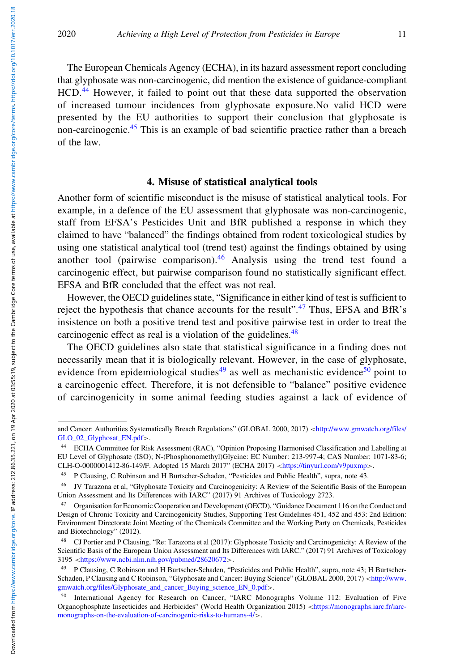Downloaded from https://www.cambridge.org/core. IP address: 2128635.221, on 19 Apr 2020 at 03:55:19, subject to the Cambridge Core terms of use, available at https://www.cambridge.org/core/terms//doi.org/10.1017/err.2020.1 Downloaded from https://www.cambridge.org/core. IP address: 21286.35.221, on 19 Apr 2020 at 03:55:19, subject to the Cambridge Core terms of use, available at https://www.cambridge.org/clon.org/10.1017/err.2020.18

The European Chemicals Agency (ECHA), in its hazard assessment report concluding that glyphosate was non-carcinogenic, did mention the existence of guidance-compliant HCD.<sup>44</sup> However, it failed to point out that these data supported the observation of increased tumour incidences from glyphosate exposure.No valid HCD were presented by the EU authorities to support their conclusion that glyphosate is non-carcinogenic.<sup>45</sup> This is an example of bad scientific practice rather than a breach of the law.

## 4. Misuse of statistical analytical tools

Another form of scientific misconduct is the misuse of statistical analytical tools. For example, in a defence of the EU assessment that glyphosate was non-carcinogenic, staff from EFSA's Pesticides Unit and BfR published a response in which they claimed to have "balanced" the findings obtained from rodent toxicological studies by using one statistical analytical tool (trend test) against the findings obtained by using another tool (pairwise comparison). $46$  Analysis using the trend test found a carcinogenic effect, but pairwise comparison found no statistically significant effect. EFSA and BfR concluded that the effect was not real.

However, the OECD guidelines state, "Significance in either kind of test is sufficient to reject the hypothesis that chance accounts for the result".<sup>47</sup> Thus, EFSA and BfR's insistence on both a positive trend test and positive pairwise test in order to treat the carcinogenic effect as real is a violation of the guidelines.<sup>48</sup>

The OECD guidelines also state that statistical significance in a finding does not necessarily mean that it is biologically relevant. However, in the case of glyphosate, evidence from epidemiological studies<sup>49</sup> as well as mechanistic evidence<sup>50</sup> point to a carcinogenic effect. Therefore, it is not defensible to "balance" positive evidence of carcinogenicity in some animal feeding studies against a lack of evidence of

and Cancer: Authorities Systematically Breach Regulations" (GLOBAL 2000, 2017) <[http://www.gmwatch.org/files/](http://www.gmwatch.org/files/GLO_02_Glyphosat_EN.pdf) [GLO\\_02\\_Glyphosat\\_EN.pdf](http://www.gmwatch.org/files/GLO_02_Glyphosat_EN.pdf)>.

<sup>44</sup> ECHA Committee for Risk Assessment (RAC), "Opinion Proposing Harmonised Classification and Labelling at EU Level of Glyphosate (ISO); N-(Phosphonomethyl)Glycine: EC Number: 213-997-4; CAS Number: 1071-83-6; CLH-O-0000001412-86-149/F. Adopted 15 March 2017" (ECHA 2017) <<https://tinyurl.com/v9puxmp>>.

<sup>45</sup> P Clausing, C Robinson and H Burtscher-Schaden, "Pesticides and Public Health", supra, note 43.

<sup>46</sup> JV Tarazona et al, "Glyphosate Toxicity and Carcinogenicity: A Review of the Scientific Basis of the European Union Assessment and Its Differences with IARC" (2017) 91 Archives of Toxicology 2723.

<sup>47</sup> Organisation for Economic Cooperation and Development (OECD), "Guidance Document 116 on the Conduct and Design of Chronic Toxicity and Carcinogenicity Studies, Supporting Test Guidelines 451, 452 and 453: 2nd Edition: Environment Directorate Joint Meeting of the Chemicals Committee and the Working Party on Chemicals, Pesticides and Biotechnology" (2012).

<sup>48</sup> CJ Portier and P Clausing, "Re: Tarazona et al (2017): Glyphosate Toxicity and Carcinogenicity: A Review of the Scientific Basis of the European Union Assessment and Its Differences with IARC." (2017) 91 Archives of Toxicology  $3195$  <<https://www.ncbi.nlm.nih.gov/pubmed/28620672>>.

<sup>49</sup> P Clausing, C Robinson and H Burtscher-Schaden, "Pesticides and Public Health", supra, note 43; H Burtscher-Schaden, P Clausing and C Robinson, "Glyphosate and Cancer: Buying Science" (GLOBAL 2000, 2017) <[http://www.](http://www.gmwatch.org/files/Glyphosate_and_cancer_Buying_science_EN_0.pdf) [gmwatch.org/files/Glyphosate\\_and\\_cancer\\_Buying\\_science\\_EN\\_0.pdf](http://www.gmwatch.org/files/Glyphosate_and_cancer_Buying_science_EN_0.pdf)>.

<sup>50</sup> International Agency for Research on Cancer, "IARC Monographs Volume 112: Evaluation of Five Organophosphate Insecticides and Herbicides" (World Health Organization 2015) <[https://monographs.iarc.fr/iarc](https://monographs.iarc.fr/iarc-monographs-on-the-evaluation-of-carcinogenic-risks-to-humans-4/)[monographs-on-the-evaluation-of-carcinogenic-risks-to-humans-4/](https://monographs.iarc.fr/iarc-monographs-on-the-evaluation-of-carcinogenic-risks-to-humans-4/)>.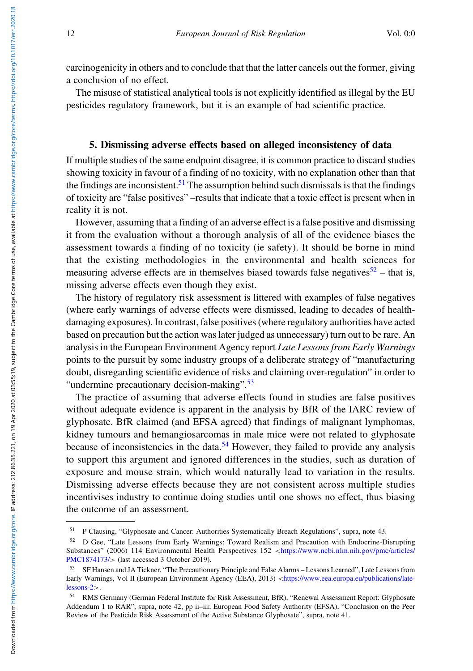carcinogenicity in others and to conclude that that the latter cancels out the former, giving a conclusion of no effect.

The misuse of statistical analytical tools is not explicitly identified as illegal by the EU pesticides regulatory framework, but it is an example of bad scientific practice.

# 5. Dismissing adverse effects based on alleged inconsistency of data

If multiple studies of the same endpoint disagree, it is common practice to discard studies showing toxicity in favour of a finding of no toxicity, with no explanation other than that the findings are inconsistent.<sup>51</sup> The assumption behind such dismissals is that the findings of toxicity are "false positives" –results that indicate that a toxic effect is present when in reality it is not.

However, assuming that a finding of an adverse effect is a false positive and dismissing it from the evaluation without a thorough analysis of all of the evidence biases the assessment towards a finding of no toxicity (ie safety). It should be borne in mind that the existing methodologies in the environmental and health sciences for measuring adverse effects are in themselves biased towards false negatives<sup>52</sup> – that is, missing adverse effects even though they exist.

The history of regulatory risk assessment is littered with examples of false negatives (where early warnings of adverse effects were dismissed, leading to decades of healthdamaging exposures). In contrast, false positives (where regulatory authorities have acted based on precaution but the action was later judged as unnecessary) turn out to be rare. An analysis in the European Environment Agency report Late Lessons from Early Warnings points to the pursuit by some industry groups of a deliberate strategy of "manufacturing doubt, disregarding scientific evidence of risks and claiming over-regulation" in order to "undermine precautionary decision-making".<sup>53</sup>

The practice of assuming that adverse effects found in studies are false positives without adequate evidence is apparent in the analysis by BfR of the IARC review of glyphosate. BfR claimed (and EFSA agreed) that findings of malignant lymphomas, kidney tumours and hemangiosarcomas in male mice were not related to glyphosate because of inconsistencies in the data.<sup>54</sup> However, they failed to provide any analysis to support this argument and ignored differences in the studies, such as duration of exposure and mouse strain, which would naturally lead to variation in the results. Dismissing adverse effects because they are not consistent across multiple studies incentivises industry to continue doing studies until one shows no effect, thus biasing the outcome of an assessment.

<sup>51</sup> P Clausing, "Glyphosate and Cancer: Authorities Systematically Breach Regulations", supra, note 43.

<sup>&</sup>lt;sup>52</sup> D Gee, "Late Lessons from Early Warnings: Toward Realism and Precaution with Endocrine-Disrupting Substances" (2006) 114 Environmental Health Perspectives 152 <[https://www.ncbi.nlm.nih.gov/pmc/articles/](https://www.ncbi.nlm.nih.gov/pmc/articles/PMC1874173/) [PMC1874173/](https://www.ncbi.nlm.nih.gov/pmc/articles/PMC1874173/)> (last accessed 3 October 2019).

<sup>&</sup>lt;sup>53</sup> SF Hansen and JA Tickner, "The Precautionary Principle and False Alarms – Lessons Learned", Late Lessons from Early Warnings, Vol II (European Environment Agency (EEA), 2013) <[https://www.eea.europa.eu/publications/late](https://www.eea.europa.eu/publications/late-lessons-2)[lessons-2](https://www.eea.europa.eu/publications/late-lessons-2)>.

<sup>54</sup> RMS Germany (German Federal Institute for Risk Assessment, BfR), "Renewal Assessment Report: Glyphosate Addendum 1 to RAR", supra, note 42, pp ii–iii; European Food Safety Authority (EFSA), "Conclusion on the Peer Review of the Pesticide Risk Assessment of the Active Substance Glyphosate", supra, note 41.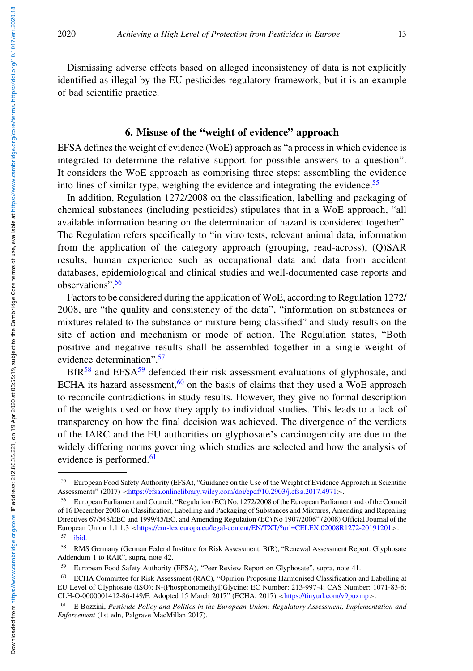Dismissing adverse effects based on alleged inconsistency of data is not explicitly identified as illegal by the EU pesticides regulatory framework, but it is an example of bad scientific practice.

# 6. Misuse of the "weight of evidence" approach

EFSA defines the weight of evidence (WoE) approach as "a process in which evidence is integrated to determine the relative support for possible answers to a question". It considers the WoE approach as comprising three steps: assembling the evidence into lines of similar type, weighing the evidence and integrating the evidence.<sup>55</sup>

In addition, Regulation 1272/2008 on the classification, labelling and packaging of chemical substances (including pesticides) stipulates that in a WoE approach, "all available information bearing on the determination of hazard is considered together". The Regulation refers specifically to "in vitro tests, relevant animal data, information from the application of the category approach (grouping, read-across), (Q)SAR results, human experience such as occupational data and data from accident databases, epidemiological and clinical studies and well-documented case reports and observations". 56

Factors to be considered during the application of WoE, according to Regulation 1272/ 2008, are "the quality and consistency of the data", "information on substances or mixtures related to the substance or mixture being classified" and study results on the site of action and mechanism or mode of action. The Regulation states, "Both positive and negative results shall be assembled together in a single weight of evidence determination".<sup>57</sup>

 $BfR<sup>58</sup>$  and  $EFSA<sup>59</sup>$  defended their risk assessment evaluations of glyphosate, and ECHA its hazard assessment,<sup>60</sup> on the basis of claims that they used a WoE approach to reconcile contradictions in study results. However, they give no formal description of the weights used or how they apply to individual studies. This leads to a lack of transparency on how the final decision was achieved. The divergence of the verdicts of the IARC and the EU authorities on glyphosate's carcinogenicity are due to the widely differing norms governing which studies are selected and how the analysis of evidence is performed.<sup>61</sup>

<sup>55</sup> European Food Safety Authority (EFSA), "Guidance on the Use of the Weight of Evidence Approach in Scientific Assessments" (2017) <<https://efsa.onlinelibrary.wiley.com/doi/epdf/10.2903/j.efsa.2017.4971>>.

<sup>56</sup> European Parliament and Council, "Regulation (EC) No. 1272/2008 of the European Parliament and of the Council of 16 December 2008 on Classification, Labelling and Packaging of Substances and Mixtures, Amending and Repealing Directives 67/548/EEC and 1999/45/EC, and Amending Regulation (EC) No 1907/2006" (2008) Official Journal of the European Union 1.1.1.3 <<https://eur-lex.europa.eu/legal-content/EN/TXT/?uri=CELEX:02008R1272-20191201>>. <sup>57</sup> ibid.

<sup>58</sup> RMS Germany (German Federal Institute for Risk Assessment, BfR), "Renewal Assessment Report: Glyphosate Addendum 1 to RAR", supra, note 42.

<sup>59</sup> European Food Safety Authority (EFSA), "Peer Review Report on Glyphosate", supra, note 41.

<sup>60</sup> ECHA Committee for Risk Assessment (RAC), "Opinion Proposing Harmonised Classification and Labelling at EU Level of Glyphosate (ISO); N-(Phosphonomethyl)Glycine: EC Number: 213-997-4; CAS Number: 1071-83-6; CLH-O-0000001412-86-149/F. Adopted 15 March 2017" (ECHA, 2017) <<https://tinyurl.com/v9puxmp>>.

 $61$  E Bozzini, Pesticide Policy and Politics in the European Union: Regulatory Assessment, Implementation and Enforcement (1st edn, Palgrave MacMillan 2017).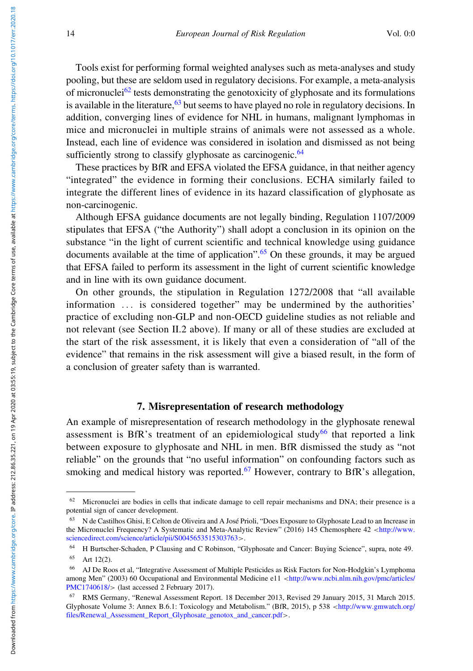Tools exist for performing formal weighted analyses such as meta-analyses and study pooling, but these are seldom used in regulatory decisions. For example, a meta-analysis of micronuclei<sup>62</sup> tests demonstrating the genotoxicity of glyphosate and its formulations is available in the literature,  $63$  but seems to have played no role in regulatory decisions. In addition, converging lines of evidence for NHL in humans, malignant lymphomas in mice and micronuclei in multiple strains of animals were not assessed as a whole. Instead, each line of evidence was considered in isolation and dismissed as not being sufficiently strong to classify glyphosate as carcinogenic.<sup>64</sup>

These practices by BfR and EFSA violated the EFSA guidance, in that neither agency "integrated" the evidence in forming their conclusions. ECHA similarly failed to integrate the different lines of evidence in its hazard classification of glyphosate as non-carcinogenic.

Although EFSA guidance documents are not legally binding, Regulation 1107/2009 stipulates that EFSA ("the Authority") shall adopt a conclusion in its opinion on the substance "in the light of current scientific and technical knowledge using guidance documents available at the time of application".<sup>65</sup> On these grounds, it may be argued that EFSA failed to perform its assessment in the light of current scientific knowledge and in line with its own guidance document.

On other grounds, the stipulation in Regulation 1272/2008 that "all available information ... is considered together" may be undermined by the authorities' practice of excluding non-GLP and non-OECD guideline studies as not reliable and not relevant (see Section II.2 above). If many or all of these studies are excluded at the start of the risk assessment, it is likely that even a consideration of "all of the evidence" that remains in the risk assessment will give a biased result, in the form of a conclusion of greater safety than is warranted.

# 7. Misrepresentation of research methodology

An example of misrepresentation of research methodology in the glyphosate renewal assessment is BfR's treatment of an epidemiological study<sup>66</sup> that reported a link between exposure to glyphosate and NHL in men. BfR dismissed the study as "not reliable" on the grounds that "no useful information" on confounding factors such as smoking and medical history was reported.<sup>67</sup> However, contrary to BfR's allegation,

<sup>&</sup>lt;sup>62</sup> Micronuclei are bodies in cells that indicate damage to cell repair mechanisms and DNA; their presence is a potential sign of cancer development.

<sup>63</sup> N de Castilhos Ghisi, E Celton de Oliveira and A José Prioli, "Does Exposure to Glyphosate Lead to an Increase in the Micronuclei Frequency? A Systematic and Meta-Analytic Review" (2016) 145 Chemosphere 42 <[http://www.](http://www.sciencedirect.com/science/article/pii/S0045653515303763) [sciencedirect.com/science/article/pii/S0045653515303763](http://www.sciencedirect.com/science/article/pii/S0045653515303763)>.

<sup>64</sup> H Burtscher-Schaden, P Clausing and C Robinson, "Glyphosate and Cancer: Buying Science", supra, note 49. <sup>65</sup> Art 12(2).

<sup>66</sup> AJ De Roos et al, "Integrative Assessment of Multiple Pesticides as Risk Factors for Non-Hodgkin's Lymphoma among Men" (2003) 60 Occupational and Environmental Medicine e11 <[http://www.ncbi.nlm.nih.gov/pmc/articles/](http://www.ncbi.nlm.nih.gov/pmc/articles/PMC1740618/) [PMC1740618/](http://www.ncbi.nlm.nih.gov/pmc/articles/PMC1740618/)> (last accessed 2 February 2017).

<sup>67</sup> RMS Germany, "Renewal Assessment Report. 18 December 2013, Revised 29 January 2015, 31 March 2015. Glyphosate Volume 3: Annex B.6.1: Toxicology and Metabolism." (BfR, 2015), p 538 <[http://www.gmwatch.org/](http://www.gmwatch.org/files/Renewal_Assessment_Report_Glyphosate_genotox_and_cancer.pdf) [files/Renewal\\_Assessment\\_Report\\_Glyphosate\\_genotox\\_and\\_cancer.pdf](http://www.gmwatch.org/files/Renewal_Assessment_Report_Glyphosate_genotox_and_cancer.pdf)>.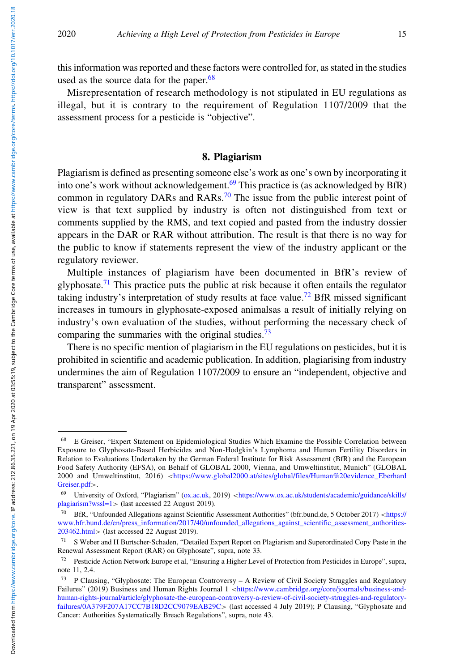this information was reported and these factors were controlled for, as stated in the studies used as the source data for the paper. $68$ 

Misrepresentation of research methodology is not stipulated in EU regulations as illegal, but it is contrary to the requirement of Regulation 1107/2009 that the assessment process for a pesticide is "objective".

# 8. Plagiarism

Plagiarism is defined as presenting someone else's work as one's own by incorporating it into one's work without acknowledgement.<sup>69</sup> This practice is (as acknowledged by BfR) common in regulatory DARs and RARs.<sup>70</sup> The issue from the public interest point of view is that text supplied by industry is often not distinguished from text or comments supplied by the RMS, and text copied and pasted from the industry dossier appears in the DAR or RAR without attribution. The result is that there is no way for the public to know if statements represent the view of the industry applicant or the regulatory reviewer.

Multiple instances of plagiarism have been documented in BfR's review of glyphosate.<sup>71</sup> This practice puts the public at risk because it often entails the regulator taking industry's interpretation of study results at face value.<sup>72</sup> BfR missed significant increases in tumours in glyphosate-exposed animalsas a result of initially relying on industry's own evaluation of the studies, without performing the necessary check of comparing the summaries with the original studies.<sup>73</sup>

There is no specific mention of plagiarism in the EU regulations on pesticides, but it is prohibited in scientific and academic publication. In addition, plagiarising from industry undermines the aim of Regulation 1107/2009 to ensure an "independent, objective and transparent" assessment.

<sup>68</sup> E Greiser, "Expert Statement on Epidemiological Studies Which Examine the Possible Correlation between Exposure to Glyphosate-Based Herbicides and Non-Hodgkin's Lymphoma and Human Fertility Disorders in Relation to Evaluations Undertaken by the German Federal Institute for Risk Assessment (BfR) and the European Food Safety Authority (EFSA), on Behalf of GLOBAL 2000, Vienna, and Umweltinstitut, Munich" (GLOBAL 2000 and Umweltinstitut, 2016) <[https://www.global2000.at/sites/global/files/Human%20evidence\\_Eberhard](https://www.global2000.at/sites/global/files/Human%20evidence_EberhardGreiser.pdf) [Greiser.pdf](https://www.global2000.at/sites/global/files/Human%20evidence_EberhardGreiser.pdf)>.

<sup>69</sup> University of Oxford, "Plagiarism" ([ox.ac.uk,](http://ox.ac.uk) 2019) <[https://www.ox.ac.uk/students/academic/guidance/skills/](https://www.ox.ac.uk/students/academic/guidance/skills/plagiarism?wssl=1) [plagiarism?wssl=1](https://www.ox.ac.uk/students/academic/guidance/skills/plagiarism?wssl=1)> (last accessed 22 August 2019).

<sup>70</sup> BfR, "Unfounded Allegations against Scientific Assessment Authorities" (bfr.bund.de, 5 October 2017) <[https://](https://www.bfr.bund.de/en/press_information/2017/40/unfounded_allegations_against_scientific_assessment_authorities-203462.html) [www.bfr.bund.de/en/press\\_information/2017/40/unfounded\\_allegations\\_against\\_scientific\\_assessment\\_authorities-](https://www.bfr.bund.de/en/press_information/2017/40/unfounded_allegations_against_scientific_assessment_authorities-203462.html)[203462.html](https://www.bfr.bund.de/en/press_information/2017/40/unfounded_allegations_against_scientific_assessment_authorities-203462.html)> (last accessed 22 August 2019).

<sup>71</sup> S Weber and H Burtscher-Schaden, "Detailed Expert Report on Plagiarism and Superordinated Copy Paste in the Renewal Assessment Report (RAR) on Glyphosate", supra, note 33.

<sup>72</sup> Pesticide Action Network Europe et al, "Ensuring a Higher Level of Protection from Pesticides in Europe", supra, note 11, 2.4.

<sup>&</sup>lt;sup>73</sup> P Clausing, "Glyphosate: The European Controversy – A Review of Civil Society Struggles and Regulatory Failures" (2019) Business and Human Rights Journal 1 <[https://www.cambridge.org/core/journals/business-and](https://www.cambridge.org/core/journals/business-and-human-rights-journal/article/glyphosate-the-european-controversy-a-review-of-civil-society-struggles-and-regulatory-failures/0A379F207A17CC7B18D2CC9079EAB29C)[human-rights-journal/article/glyphosate-the-european-controversy-a-review-of-civil-society-struggles-and-regulatory](https://www.cambridge.org/core/journals/business-and-human-rights-journal/article/glyphosate-the-european-controversy-a-review-of-civil-society-struggles-and-regulatory-failures/0A379F207A17CC7B18D2CC9079EAB29C)[failures/0A379F207A17CC7B18D2CC9079EAB29C](https://www.cambridge.org/core/journals/business-and-human-rights-journal/article/glyphosate-the-european-controversy-a-review-of-civil-society-struggles-and-regulatory-failures/0A379F207A17CC7B18D2CC9079EAB29C)> (last accessed 4 July 2019); P Clausing, "Glyphosate and Cancer: Authorities Systematically Breach Regulations", supra, note 43.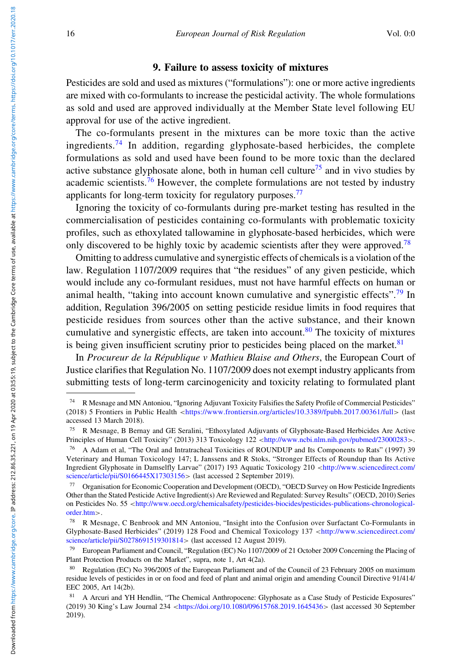# 9. Failure to assess toxicity of mixtures

Pesticides are sold and used as mixtures ("formulations"): one or more active ingredients are mixed with co-formulants to increase the pesticidal activity. The whole formulations as sold and used are approved individually at the Member State level following EU approval for use of the active ingredient.

The co-formulants present in the mixtures can be more toxic than the active ingredients.<sup>74</sup> In addition, regarding glyphosate-based herbicides, the complete formulations as sold and used have been found to be more toxic than the declared active substance glyphosate alone, both in human cell culture<sup>75</sup> and in vivo studies by academic scientists.<sup>76</sup> However, the complete formulations are not tested by industry applicants for long-term toxicity for regulatory purposes.<sup>77</sup>

Ignoring the toxicity of co-formulants during pre-market testing has resulted in the commercialisation of pesticides containing co-formulants with problematic toxicity profiles, such as ethoxylated tallowamine in glyphosate-based herbicides, which were only discovered to be highly toxic by academic scientists after they were approved.<sup>78</sup>

Omitting to address cumulative and synergistic effects of chemicals is a violation of the law. Regulation 1107/2009 requires that "the residues" of any given pesticide, which would include any co-formulant residues, must not have harmful effects on human or animal health, "taking into account known cumulative and synergistic effects".<sup>79</sup> In addition, Regulation 396/2005 on setting pesticide residue limits in food requires that pesticide residues from sources other than the active substance, and their known cumulative and synergistic effects, are taken into account.<sup>80</sup> The toxicity of mixtures is being given insufficient scrutiny prior to pesticides being placed on the market.  $81$ 

In Procureur de la République v Mathieu Blaise and Others, the European Court of Justice clarifies that Regulation No. 1107/2009 does not exempt industry applicants from submitting tests of long-term carcinogenicity and toxicity relating to formulated plant

<sup>74</sup> R Mesnage and MN Antoniou, "Ignoring Adjuvant Toxicity Falsifies the Safety Profile of Commercial Pesticides" (2018) 5 Frontiers in Public Health <<https://www.frontiersin.org/articles/10.3389/fpubh.2017.00361/full>> (last accessed 13 March 2018).

<sup>75</sup> R Mesnage, B Bernay and GE Seralini, "Ethoxylated Adjuvants of Glyphosate-Based Herbicides Are Active Principles of Human Cell Toxicity" (2013) 313 Toxicology 122 <<http://www.ncbi.nlm.nih.gov/pubmed/23000283>>.

<sup>76</sup> A Adam et al, "The Oral and Intratracheal Toxicities of ROUNDUP and Its Components to Rats" (1997) 39 Veterinary and Human Toxicology 147; L Janssens and R Stoks, "Stronger Effects of Roundup than Its Active Ingredient Glyphosate in Damselfly Larvae" (2017) 193 Aquatic Toxicology 210 <[http://www.sciencedirect.com/](http://www.sciencedirect.com/science/article/pii/S0166445X17303156) [science/article/pii/S0166445X17303156](http://www.sciencedirect.com/science/article/pii/S0166445X17303156)> (last accessed 2 September 2019).

<sup>77</sup> Organisation for Economic Cooperation and Development (OECD), "OECD Survey on How Pesticide Ingredients Other than the Stated Pesticide Active Ingredient(s) Are Reviewed and Regulated: Survey Results" (OECD, 2010) Series on Pesticides No. 55 <[http://www.oecd.org/chemicalsafety/pesticides-biocides/pesticides-publications-chronological](http://www.oecd.org/chemicalsafety/pesticides-biocides/pesticides-publications-chronological-order.htm)[order.htm](http://www.oecd.org/chemicalsafety/pesticides-biocides/pesticides-publications-chronological-order.htm)>.

<sup>&</sup>lt;sup>78</sup> R Mesnage, C Benbrook and MN Antoniou, "Insight into the Confusion over Surfactant Co-Formulants in Glyphosate-Based Herbicides" (2019) 128 Food and Chemical Toxicology 137 <[http://www.sciencedirect.com/](http://www.sciencedirect.com/science/article/pii/S0278691519301814) [science/article/pii/S0278691519301814](http://www.sciencedirect.com/science/article/pii/S0278691519301814)> (last accessed 12 August 2019).

<sup>79</sup> European Parliament and Council, "Regulation (EC) No 1107/2009 of 21 October 2009 Concerning the Placing of Plant Protection Products on the Market", supra, note 1, Art 4(2a).

<sup>&</sup>lt;sup>80</sup> Regulation (EC) No 396/2005 of the European Parliament and of the Council of 23 February 2005 on maximum residue levels of pesticides in or on food and feed of plant and animal origin and amending Council Directive 91/414/ EEC 2005, Art 14(2b).

<sup>81</sup> A Arcuri and YH Hendlin, "The Chemical Anthropocene: Glyphosate as a Case Study of Pesticide Exposures" (2019) 30 King's Law Journal 234 <<https://doi.org/10.1080/09615768.2019.1645436>> (last accessed 30 September 2019).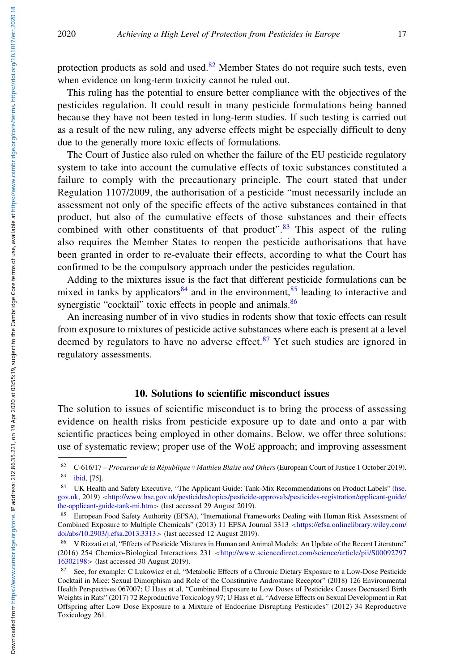Downloaded from https://www.cambridge.org/core. IP address: 2128635.221, on 19 Apr 2020 at 03:55:19, subject to the Cambridge Core terms of use, available at https://www.cambridge.org/core/terms. https://doi.org/10.1017/er Downloaded from https://www.cambridge.org/core. IP address: 21286.35.221, on 19 Apr 2020 at 03:55:19, subject to the Cambridge Core terms of use, available at https://www.cambridge.org/cloi.org/10.1017/err.2020.18

protection products as sold and used. $82$  Member States do not require such tests, even when evidence on long-term toxicity cannot be ruled out.

This ruling has the potential to ensure better compliance with the objectives of the pesticides regulation. It could result in many pesticide formulations being banned because they have not been tested in long-term studies. If such testing is carried out as a result of the new ruling, any adverse effects might be especially difficult to deny due to the generally more toxic effects of formulations.

The Court of Justice also ruled on whether the failure of the EU pesticide regulatory system to take into account the cumulative effects of toxic substances constituted a failure to comply with the precautionary principle. The court stated that under Regulation 1107/2009, the authorisation of a pesticide "must necessarily include an assessment not only of the specific effects of the active substances contained in that product, but also of the cumulative effects of those substances and their effects combined with other constituents of that product".<sup>83</sup> This aspect of the ruling also requires the Member States to reopen the pesticide authorisations that have been granted in order to re-evaluate their effects, according to what the Court has confirmed to be the compulsory approach under the pesticides regulation.

Adding to the mixtures issue is the fact that different pesticide formulations can be mixed in tanks by applicators  $84$  and in the environment,  $85$  leading to interactive and synergistic "cocktail" toxic effects in people and animals.<sup>86</sup>

An increasing number of in vivo studies in rodents show that toxic effects can result from exposure to mixtures of pesticide active substances where each is present at a level deemed by regulators to have no adverse effect.<sup>87</sup> Yet such studies are ignored in regulatory assessments.

# 10. Solutions to scientific misconduct issues

The solution to issues of scientific misconduct is to bring the process of assessing evidence on health risks from pesticide exposure up to date and onto a par with scientific practices being employed in other domains. Below, we offer three solutions: use of systematic review; proper use of the WoE approach; and improving assessment

<sup>82</sup> C-616/17 – Procureur de la République v Mathieu Blaise and Others (European Court of Justice 1 October 2019). <sup>83</sup> ibid, [75].

<sup>&</sup>lt;sup>84</sup> UK Health and Safety Executive, "The Applicant Guide: Tank-Mix Recommendations on Product Labels" ([hse.](http://hse.gov.uk) [gov.uk,](http://hse.gov.uk) 2019) <[http://www.hse.gov.uk/pesticides/topics/pesticide-approvals/pesticides-registration/applicant-guide/](http://www.hse.gov.uk/pesticides/topics/pesticide-approvals/pesticides-registration/applicant-guide/the-applicant-guide-tank-mi.htm) [the-applicant-guide-tank-mi.htm](http://www.hse.gov.uk/pesticides/topics/pesticide-approvals/pesticides-registration/applicant-guide/the-applicant-guide-tank-mi.htm)> (last accessed 29 August 2019).

<sup>85</sup> European Food Safety Authority (EFSA), "International Frameworks Dealing with Human Risk Assessment of Combined Exposure to Multiple Chemicals" (2013) 11 EFSA Journal 3313 <[https://efsa.onlinelibrary.wiley.com/](https://efsa.onlinelibrary.wiley.com/doi/abs/10.2903/j.efsa.2013.3313) [doi/abs/10.2903/j.efsa.2013.3313](https://efsa.onlinelibrary.wiley.com/doi/abs/10.2903/j.efsa.2013.3313)> (last accessed 12 August 2019).

<sup>86</sup> V Rizzati et al, "Effects of Pesticide Mixtures in Human and Animal Models: An Update of the Recent Literature" (2016) 254 Chemico-Biological Interactions 231 <[http://www.sciencedirect.com/science/article/pii/S00092797](http://www.sciencedirect.com/science/article/pii/S0009279716302198) [16302198](http://www.sciencedirect.com/science/article/pii/S0009279716302198)> (last accessed 30 August 2019).

<sup>87</sup> See, for example: C Lukowicz et al, "Metabolic Effects of a Chronic Dietary Exposure to a Low-Dose Pesticide Cocktail in Mice: Sexual Dimorphism and Role of the Constitutive Androstane Receptor" (2018) 126 Environmental Health Perspectives 067007; U Hass et al, "Combined Exposure to Low Doses of Pesticides Causes Decreased Birth Weights in Rats" (2017) 72 Reproductive Toxicology 97; U Hass et al, "Adverse Effects on Sexual Development in Rat Offspring after Low Dose Exposure to a Mixture of Endocrine Disrupting Pesticides" (2012) 34 Reproductive Toxicology 261.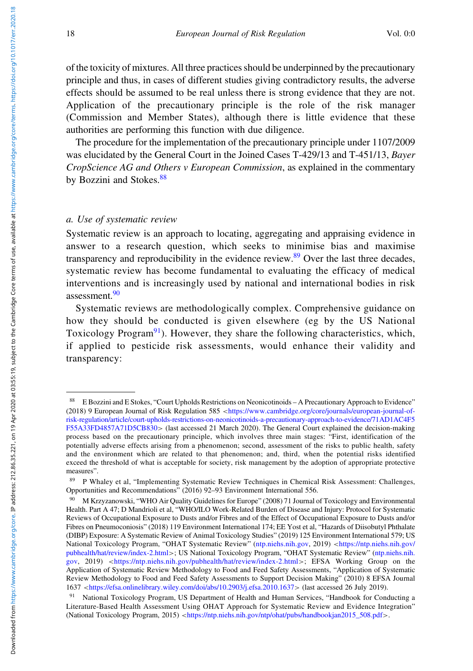of the toxicity of mixtures. All three practices should be underpinned by the precautionary principle and thus, in cases of different studies giving contradictory results, the adverse effects should be assumed to be real unless there is strong evidence that they are not. Application of the precautionary principle is the role of the risk manager (Commission and Member States), although there is little evidence that these authorities are performing this function with due diligence.

The procedure for the implementation of the precautionary principle under 1107/2009 was elucidated by the General Court in the Joined Cases T-429/13 and T-451/13, Bayer CropScience AG and Others v European Commission, as explained in the commentary by Bozzini and Stokes.<sup>88</sup>

#### a. Use of systematic review

Systematic review is an approach to locating, aggregating and appraising evidence in answer to a research question, which seeks to minimise bias and maximise transparency and reproducibility in the evidence review.<sup>89</sup> Over the last three decades, systematic review has become fundamental to evaluating the efficacy of medical interventions and is increasingly used by national and international bodies in risk assessment.<sup>90</sup>

Systematic reviews are methodologically complex. Comprehensive guidance on how they should be conducted is given elsewhere (eg by the US National Toxicology Program<sup>91</sup>). However, they share the following characteristics, which, if applied to pesticide risk assessments, would enhance their validity and transparency:

<sup>88</sup> E Bozzini and E Stokes, "Court Upholds Restrictions on Neonicotinoids – A Precautionary Approach to Evidence" (2018) 9 European Journal of Risk Regulation 585 <[https://www.cambridge.org/core/journals/european-journal-of](https://www.cambridge.org/core/journals/european-journal-of-risk-regulation/article/court-upholds-restrictions-on-neonicotinoids-a-precautionary-approach-to-evidence/71AD1AC4F5F55A33FD4857A71D5CB830)[risk-regulation/article/court-upholds-restrictions-on-neonicotinoids-a-precautionary-approach-to-evidence/71AD1AC4F5](https://www.cambridge.org/core/journals/european-journal-of-risk-regulation/article/court-upholds-restrictions-on-neonicotinoids-a-precautionary-approach-to-evidence/71AD1AC4F5F55A33FD4857A71D5CB830) [F55A33FD4857A71D5CB830](https://www.cambridge.org/core/journals/european-journal-of-risk-regulation/article/court-upholds-restrictions-on-neonicotinoids-a-precautionary-approach-to-evidence/71AD1AC4F5F55A33FD4857A71D5CB830)> (last accessed 21 March 2020). The General Court explained the decision-making process based on the precautionary principle, which involves three main stages: "First, identification of the potentially adverse effects arising from a phenomenon; second, assessment of the risks to public health, safety and the environment which are related to that phenomenon; and, third, when the potential risks identified exceed the threshold of what is acceptable for society, risk management by the adoption of appropriate protective measures".

<sup>89</sup> P Whaley et al, "Implementing Systematic Review Techniques in Chemical Risk Assessment: Challenges, Opportunities and Recommendations" (2016) 92–93 Environment International 556.

<sup>90</sup> M Krzyzanowski, "WHO Air Quality Guidelines for Europe" (2008) 71 Journal of Toxicology and Environmental Health. Part A 47; D Mandrioli et al, "WHO/ILO Work-Related Burden of Disease and Injury: Protocol for Systematic Reviews of Occupational Exposure to Dusts and/or Fibres and of the Effect of Occupational Exposure to Dusts and/or Fibres on Pneumoconiosis" (2018) 119 Environment International 174; EE Yost et al, "Hazards of Diisobutyl Phthalate (DIBP) Exposure: A Systematic Review of Animal Toxicology Studies" (2019) 125 Environment International 579; US National Toxicology Program, "OHAT Systematic Review" ([ntp.niehs.nih.gov](http://ntp.niehs.nih.gov), 2019) <[https://ntp.niehs.nih.gov/](https://ntp.niehs.nih.gov/pubhealth/hat/review/index-2.html) [pubhealth/hat/review/index-2.html](https://ntp.niehs.nih.gov/pubhealth/hat/review/index-2.html)>; US National Toxicology Program, "OHAT Systematic Review" [\(ntp.niehs.nih.](http://ntp.niehs.nih.gov)  $g_{\text{ov}}$ , 2019) <https://ntp.niehs.nih.[gov](http://ntp.niehs.nih.gov)/pubhealth/hat/review/index-2.html>; EFSA Working Group on the Application of Systematic Review Methodology to Food and Feed Safety Assessments, "Application of Systematic Review Methodology to Food and Feed Safety Assessments to Support Decision Making" (2010) 8 EFSA Journal 1637 <<https://efsa.onlinelibrary.wiley.com/doi/abs/10.2903/j.efsa.2010.1637>> (last accessed 26 July 2019).

<sup>91</sup> National Toxicology Program, US Department of Health and Human Services, "Handbook for Conducting a Literature-Based Health Assessment Using OHAT Approach for Systematic Review and Evidence Integration" (National Toxicology Program, 2015) <[https://ntp.niehs.nih.gov/ntp/ohat/pubs/handbookjan2015\\_508.pdf](https://ntp.niehs.nih.gov/ntp/ohat/pubs/handbookjan2015_508.pdf)>.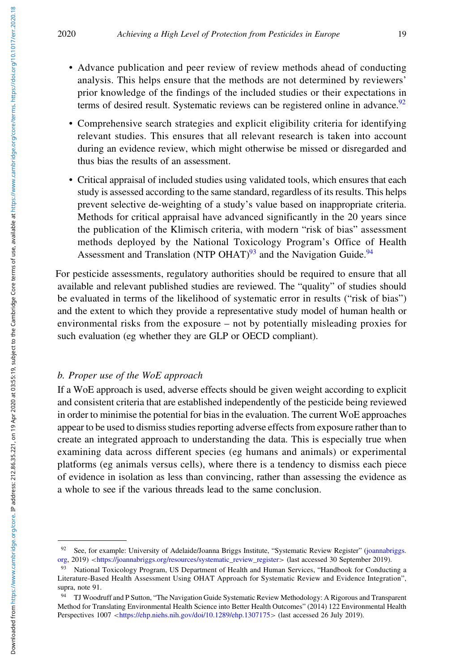- Advance publication and peer review of review methods ahead of conducting analysis. This helps ensure that the methods are not determined by reviewers' prior knowledge of the findings of the included studies or their expectations in terms of desired result. Systematic reviews can be registered online in advance.<sup>92</sup>
- Comprehensive search strategies and explicit eligibility criteria for identifying relevant studies. This ensures that all relevant research is taken into account during an evidence review, which might otherwise be missed or disregarded and thus bias the results of an assessment.
- Critical appraisal of included studies using validated tools, which ensures that each study is assessed according to the same standard, regardless of its results. This helps prevent selective de-weighting of a study's value based on inappropriate criteria. Methods for critical appraisal have advanced significantly in the 20 years since the publication of the Klimisch criteria, with modern "risk of bias" assessment methods deployed by the National Toxicology Program's Office of Health Assessment and Translation (NTP OHAT) $93$  and the Navigation Guide. $94$

For pesticide assessments, regulatory authorities should be required to ensure that all available and relevant published studies are reviewed. The "quality" of studies should be evaluated in terms of the likelihood of systematic error in results ("risk of bias") and the extent to which they provide a representative study model of human health or environmental risks from the exposure – not by potentially misleading proxies for such evaluation (eg whether they are GLP or OECD compliant).

# b. Proper use of the WoE approach

If a WoE approach is used, adverse effects should be given weight according to explicit and consistent criteria that are established independently of the pesticide being reviewed in order to minimise the potential for bias in the evaluation. The current WoE approaches appear to be used to dismiss studies reporting adverse effects from exposure rather than to create an integrated approach to understanding the data. This is especially true when examining data across different species (eg humans and animals) or experimental platforms (eg animals versus cells), where there is a tendency to dismiss each piece of evidence in isolation as less than convincing, rather than assessing the evidence as a whole to see if the various threads lead to the same conclusion.

<sup>92</sup> See, for example: University of Adelaide/Joanna Briggs Institute, "Systematic Review Register" [\(joannabriggs.](http://joannabriggs.org) [org](http://joannabriggs.org), 2019) <[https://joannabriggs.org/resources/systematic\\_review\\_register](https://joannabriggs.org/resources/systematic_review_register)> (last accessed 30 September 2019).

<sup>93</sup> National Toxicology Program, US Department of Health and Human Services, "Handbook for Conducting a Literature-Based Health Assessment Using OHAT Approach for Systematic Review and Evidence Integration", supra, note 91.

<sup>94</sup> TJ Woodruff and P Sutton, "The Navigation Guide Systematic Review Methodology: A Rigorous and Transparent Method for Translating Environmental Health Science into Better Health Outcomes" (2014) 122 Environmental Health Perspectives 1007 <<https://ehp.niehs.nih.gov/doi/10.1289/ehp.1307175>> (last accessed 26 July 2019).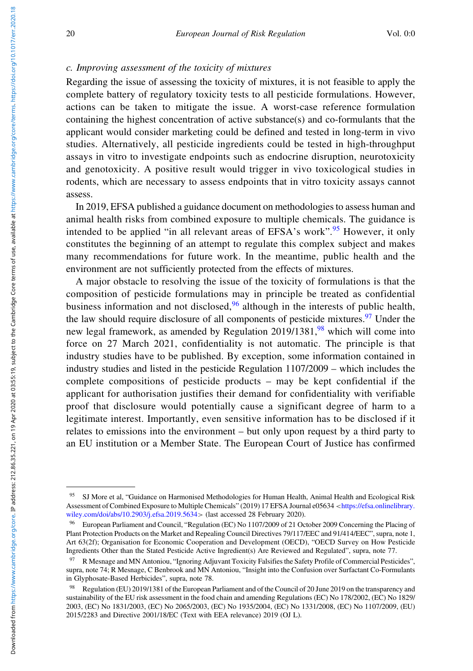# c. Improving assessment of the toxicity of mixtures

Regarding the issue of assessing the toxicity of mixtures, it is not feasible to apply the complete battery of regulatory toxicity tests to all pesticide formulations. However, actions can be taken to mitigate the issue. A worst-case reference formulation containing the highest concentration of active substance(s) and co-formulants that the applicant would consider marketing could be defined and tested in long-term in vivo studies. Alternatively, all pesticide ingredients could be tested in high-throughput assays in vitro to investigate endpoints such as endocrine disruption, neurotoxicity and genotoxicity. A positive result would trigger in vivo toxicological studies in rodents, which are necessary to assess endpoints that in vitro toxicity assays cannot assess.

In 2019, EFSA published a guidance document on methodologies to assess human and animal health risks from combined exposure to multiple chemicals. The guidance is intended to be applied "in all relevant areas of EFSA's work".<sup>95</sup> However, it only constitutes the beginning of an attempt to regulate this complex subject and makes many recommendations for future work. In the meantime, public health and the environment are not sufficiently protected from the effects of mixtures.

A major obstacle to resolving the issue of the toxicity of formulations is that the composition of pesticide formulations may in principle be treated as confidential business information and not disclosed,  $96$  although in the interests of public health, the law should require disclosure of all components of pesticide mixtures.  $\frac{97}{97}$  Under the new legal framework, as amended by Regulation  $2019/1381$ , <sup>98</sup> which will come into force on 27 March 2021, confidentiality is not automatic. The principle is that industry studies have to be published. By exception, some information contained in industry studies and listed in the pesticide Regulation 1107/2009 – which includes the complete compositions of pesticide products – may be kept confidential if the applicant for authorisation justifies their demand for confidentiality with verifiable proof that disclosure would potentially cause a significant degree of harm to a legitimate interest. Importantly, even sensitive information has to be disclosed if it relates to emissions into the environment – but only upon request by a third party to an EU institution or a Member State. The European Court of Justice has confirmed

<sup>&</sup>lt;sup>95</sup> SJ More et al, "Guidance on Harmonised Methodologies for Human Health, Animal Health and Ecological Risk Assessment of Combined Exposure to Multiple Chemicals" (2019) 17 EFSA Journal e05634 <[https://efsa.onlinelibrary.](https://efsa.onlinelibrary.wiley.com/doi/abs/10.2903/j.efsa.2019.5634) [wiley.com/doi/abs/10.2903/j.efsa.2019.5634](https://efsa.onlinelibrary.wiley.com/doi/abs/10.2903/j.efsa.2019.5634)> (last accessed 28 February 2020).

<sup>96</sup> European Parliament and Council, "Regulation (EC) No 1107/2009 of 21 October 2009 Concerning the Placing of Plant Protection Products on the Market and Repealing Council Directives 79/117/EEC and 91/414/EEC", supra, note 1, Art 63(2f); Organisation for Economic Cooperation and Development (OECD), "OECD Survey on How Pesticide Ingredients Other than the Stated Pesticide Active Ingredient(s) Are Reviewed and Regulated", supra, note 77.

<sup>97</sup> R Mesnage and MN Antoniou, "Ignoring Adjuvant Toxicity Falsifies the Safety Profile of Commercial Pesticides", supra, note 74; R Mesnage, C Benbrook and MN Antoniou, "Insight into the Confusion over Surfactant Co-Formulants in Glyphosate-Based Herbicides", supra, note 78.

<sup>98</sup> Regulation (EU) 2019/1381 of the European Parliament and of the Council of 20 June 2019 on the transparency and sustainability of the EU risk assessment in the food chain and amending Regulations (EC) No 178/2002, (EC) No 1829/ 2003, (EC) No 1831/2003, (EC) No 2065/2003, (EC) No 1935/2004, (EC) No 1331/2008, (EC) No 1107/2009, (EU) 2015/2283 and Directive 2001/18/EC (Text with EEA relevance) 2019 (OJ L).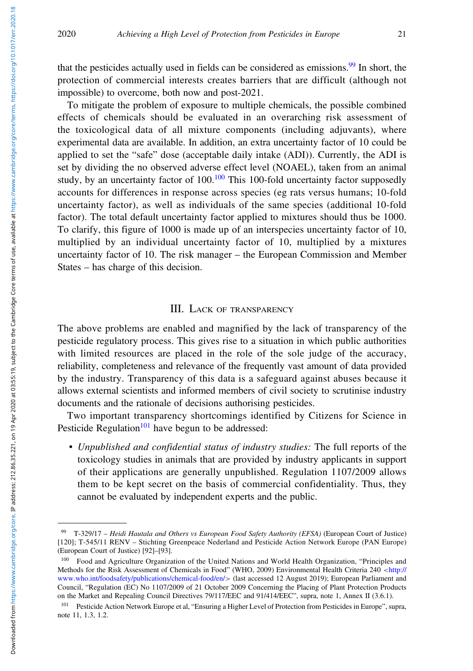Downloaded from https://www.cambridge.org/core. IP address: 2128635.221, on 19 Apr 2020 at 03:55:19, subject to the Cambridge Core terms of use, available at https://www.cambridge.org/core/terms. https://doi.org/10.1017/er Downloaded from https://www.cambridge.org/core. IP address: 21286.35.221, on 19 Apr 2020 at 03:55:19, subject to the Cambridge Core terms of use, available at https://www.cambridge.org/cloi.org/10.1017/err.2020.18

that the pesticides actually used in fields can be considered as emissions.<sup>99</sup> In short, the protection of commercial interests creates barriers that are difficult (although not impossible) to overcome, both now and post-2021.

To mitigate the problem of exposure to multiple chemicals, the possible combined effects of chemicals should be evaluated in an overarching risk assessment of the toxicological data of all mixture components (including adjuvants), where experimental data are available. In addition, an extra uncertainty factor of 10 could be applied to set the "safe" dose (acceptable daily intake (ADI)). Currently, the ADI is set by dividing the no observed adverse effect level (NOAEL), taken from an animal study, by an uncertainty factor of  $100<sup>100</sup>$  This 100-fold uncertainty factor supposedly accounts for differences in response across species (eg rats versus humans; 10-fold uncertainty factor), as well as individuals of the same species (additional 10-fold factor). The total default uncertainty factor applied to mixtures should thus be 1000. To clarify, this figure of 1000 is made up of an interspecies uncertainty factor of 10, multiplied by an individual uncertainty factor of 10, multiplied by a mixtures uncertainty factor of 10. The risk manager – the European Commission and Member States – has charge of this decision.

# III. LACK OF TRANSPARENCY

The above problems are enabled and magnified by the lack of transparency of the pesticide regulatory process. This gives rise to a situation in which public authorities with limited resources are placed in the role of the sole judge of the accuracy, reliability, completeness and relevance of the frequently vast amount of data provided by the industry. Transparency of this data is a safeguard against abuses because it allows external scientists and informed members of civil society to scrutinise industry documents and the rationale of decisions authorising pesticides.

Two important transparency shortcomings identified by Citizens for Science in Pesticide Regulation $101$  have begun to be addressed:

• Unpublished and confidential status of industry studies: The full reports of the toxicology studies in animals that are provided by industry applicants in support of their applications are generally unpublished. Regulation 1107/2009 allows them to be kept secret on the basis of commercial confidentiality. Thus, they cannot be evaluated by independent experts and the public.

<sup>99</sup> T-329/17 – Heidi Hautala and Others vs European Food Safety Authority (EFSA) (European Court of Justice) [120]; T-545/11 RENV – Stichting Greenpeace Nederland and Pesticide Action Network Europe (PAN Europe) (European Court of Justice) [92]–[93].

<sup>100</sup> Food and Agriculture Organization of the United Nations and World Health Organization, "Principles and Methods for the Risk Assessment of Chemicals in Food" (WHO, 2009) Environmental Health Criteria 240 <[http://](http://www.who.int/foodsafety/publications/chemical-food/en/) [www.who.int/foodsafety/publications/chemical-food/en/](http://www.who.int/foodsafety/publications/chemical-food/en/)> (last accessed 12 August 2019); European Parliament and Council, "Regulation (EC) No 1107/2009 of 21 October 2009 Concerning the Placing of Plant Protection Products on the Market and Repealing Council Directives 79/117/EEC and 91/414/EEC", supra, note 1, Annex II (3.6.1).

<sup>101</sup> Pesticide Action Network Europe et al, "Ensuring a Higher Level of Protection from Pesticides in Europe", supra, note 11, 1.3, 1.2.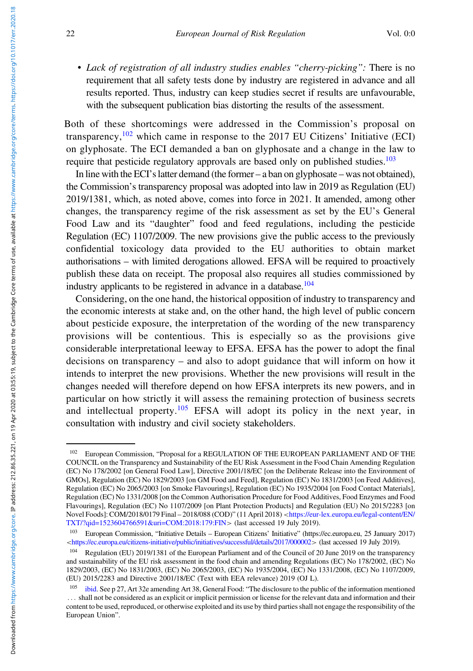• Lack of registration of all industry studies enables "cherry-picking": There is no requirement that all safety tests done by industry are registered in advance and all results reported. Thus, industry can keep studies secret if results are unfavourable, with the subsequent publication bias distorting the results of the assessment.

Both of these shortcomings were addressed in the Commission's proposal on transparency,  $102$  which came in response to the 2017 EU Citizens' Initiative (ECI) on glyphosate. The ECI demanded a ban on glyphosate and a change in the law to require that pesticide regulatory approvals are based only on published studies.<sup>103</sup>

In line with the ECI's latter demand (the former – a ban on glyphosate – was not obtained), the Commission's transparency proposal was adopted into law in 2019 as Regulation (EU) 2019/1381, which, as noted above, comes into force in 2021. It amended, among other changes, the transparency regime of the risk assessment as set by the EU's General Food Law and its "daughter" food and feed regulations, including the pesticide Regulation (EC) 1107/2009. The new provisions give the public access to the previously confidential toxicology data provided to the EU authorities to obtain market authorisations – with limited derogations allowed. EFSA will be required to proactively publish these data on receipt. The proposal also requires all studies commissioned by industry applicants to be registered in advance in a database.<sup>104</sup>

Considering, on the one hand, the historical opposition of industry to transparency and the economic interests at stake and, on the other hand, the high level of public concern about pesticide exposure, the interpretation of the wording of the new transparency provisions will be contentious. This is especially so as the provisions give considerable interpretational leeway to EFSA. EFSA has the power to adopt the final decisions on transparency – and also to adopt guidance that will inform on how it intends to interpret the new provisions. Whether the new provisions will result in the changes needed will therefore depend on how EFSA interprets its new powers, and in particular on how strictly it will assess the remaining protection of business secrets and intellectual property.<sup>105</sup> EFSA will adopt its policy in the next year, in consultation with industry and civil society stakeholders.

<sup>&</sup>lt;sup>102</sup> European Commission, "Proposal for a REGULATION OF THE EUROPEAN PARLIAMENT AND OF THE COUNCIL on the Transparency and Sustainability of the EU Risk Assessment in the Food Chain Amending Regulation (EC) No 178/2002 [on General Food Law], Directive 2001/18/EC [on the Deliberate Release into the Environment of GMOs], Regulation (EC) No 1829/2003 [on GM Food and Feed], Regulation (EC) No 1831/2003 [on Feed Additives], Regulation (EC) No 2065/2003 [on Smoke Flavourings], Regulation (EC) No 1935/2004 [on Food Contact Materials], Regulation (EC) No 1331/2008 [on the Common Authorisation Procedure for Food Additives, Food Enzymes and Food Flavourings], Regulation (EC) No 1107/2009 [on Plant Protection Products] and Regulation (EU) No 2015/2283 [on Novel Foods]: COM/2018/0179 Final – 2018/088 (COD)" (11 April 2018) <[https://eur-lex.europa.eu/legal-content/EN/](https://eur-lex.europa.eu/legal-content/EN/TXT/?qid=1523604766591&uri=COM:2018:179:FIN) [TXT/?qid=1523604766591&uri=COM:2018:179:FIN](https://eur-lex.europa.eu/legal-content/EN/TXT/?qid=1523604766591&uri=COM:2018:179:FIN)> (last accessed 19 July 2019).

<sup>103</sup> European Commission, "Initiative Details – European Citizens' Initiative" (https://ec.europa.eu, 25 January 2017) <<https://ec.europa.eu/citizens-initiative/public/initiatives/successful/details/2017/000002>> (last accessed 19 July 2019).

<sup>104</sup> Regulation (EU) 2019/1381 of the European Parliament and of the Council of 20 June 2019 on the transparency and sustainability of the EU risk assessment in the food chain and amending Regulations (EC) No 178/2002, (EC) No 1829/2003, (EC) No 1831/2003, (EC) No 2065/2003, (EC) No 1935/2004, (EC) No 1331/2008, (EC) No 1107/2009, (EU) 2015/2283 and Directive 2001/18/EC (Text with EEA relevance) 2019 (OJ L).

<sup>105</sup> ibid. See p 27, Art 32e amending Art 38, General Food: "The disclosure to the public of the information mentioned ::: shall not be considered as an explicit or implicit permission or license for the relevant data and information and their content to be used, reproduced, or otherwise exploited and its use by third parties shall not engage the responsibility of the European Union".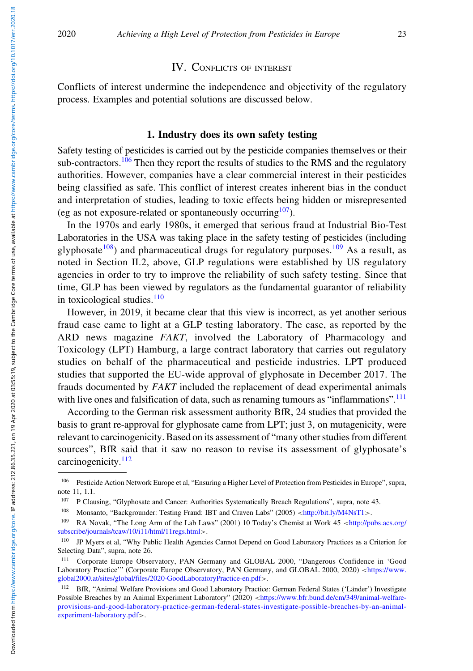Downloaded from https://www.cambridge.org/core. IP address: 2128635.221, on 19 Apr 2020 at 03:55:19, subject to the Cambridge Core terms of use, available at https://www.cambridge.org/core/terms//doi.org/10.1017/err.2020.1 Downloaded from https://www.cambridge.org/core. IP address: 21286.35.221, on 19 Apr 2020 at 03:55:19, subject to the Cambridge Core terms of use, available at https://www.cambridge.org/cloi.org/10.1017/err.2020.18

# IV. CONFLICTS OF INTEREST

Conflicts of interest undermine the independence and objectivity of the regulatory process. Examples and potential solutions are discussed below.

# 1. Industry does its own safety testing

Safety testing of pesticides is carried out by the pesticide companies themselves or their sub-contractors.<sup>106</sup> Then they report the results of studies to the RMS and the regulatory authorities. However, companies have a clear commercial interest in their pesticides being classified as safe. This conflict of interest creates inherent bias in the conduct and interpretation of studies, leading to toxic effects being hidden or misrepresented (eg as not exposure-related or spontaneously occurring<sup>107</sup>).

In the 1970s and early 1980s, it emerged that serious fraud at Industrial Bio-Test Laboratories in the USA was taking place in the safety testing of pesticides (including glyphosate<sup>108</sup>) and pharmaceutical drugs for regulatory purposes.<sup>109</sup> As a result, as noted in Section II.2, above, GLP regulations were established by US regulatory agencies in order to try to improve the reliability of such safety testing. Since that time, GLP has been viewed by regulators as the fundamental guarantor of reliability in toxicological studies. $\frac{110}{110}$ 

However, in 2019, it became clear that this view is incorrect, as yet another serious fraud case came to light at a GLP testing laboratory. The case, as reported by the ARD news magazine FAKT, involved the Laboratory of Pharmacology and Toxicology (LPT) Hamburg, a large contract laboratory that carries out regulatory studies on behalf of the pharmaceutical and pesticide industries. LPT produced studies that supported the EU-wide approval of glyphosate in December 2017. The frauds documented by FAKT included the replacement of dead experimental animals with live ones and falsification of data, such as renaming tumours as "inflammations".<sup>111</sup>

According to the German risk assessment authority BfR, 24 studies that provided the basis to grant re-approval for glyphosate came from LPT; just 3, on mutagenicity, were relevant to carcinogenicity. Based on its assessment of "many other studies from different sources", BfR said that it saw no reason to revise its assessment of glyphosate's carcinogenicity.<sup>112</sup>

<sup>106</sup> Pesticide Action Network Europe et al, "Ensuring a Higher Level of Protection from Pesticides in Europe", supra, note 11, 1.1.

<sup>107</sup> P Clausing, "Glyphosate and Cancer: Authorities Systematically Breach Regulations", supra, note 43.

<sup>&</sup>lt;sup>108</sup> Monsanto, "Backgrounder: Testing Fraud: IBT and Craven Labs" (2005)  $\langle \frac{\text{http://bit.ly/M4NsT1}{\text{bit.ly/M4NsT1}} \rangle$  $\langle \frac{\text{http://bit.ly/M4NsT1}{\text{bit.ly/M4NsT1}} \rangle$  $\langle \frac{\text{http://bit.ly/M4NsT1}{\text{bit.ly/M4NsT1}} \rangle$ .

<sup>109</sup> RA Novak, "The Long Arm of the Lab Laws" (2001) 10 Today's Chemist at Work 45 <[http://pubs.acs.org/](http://pubs.acs.org/subscribe/journals/tcaw/10/i11/html/11regs.html) [subscribe/journals/tcaw/10/i11/html/11regs.html](http://pubs.acs.org/subscribe/journals/tcaw/10/i11/html/11regs.html)>.

<sup>110</sup> JP Myers et al, "Why Public Health Agencies Cannot Depend on Good Laboratory Practices as a Criterion for Selecting Data", supra, note 26.

<sup>111</sup> Corporate Europe Observatory, PAN Germany and GLOBAL 2000, "Dangerous Confidence in 'Good Laboratory Practice'" (Corporate Europe Observatory, PAN Germany, and GLOBAL 2000, 2020) <[https://www.](https://www.global2000.at/sites/global/files/2020-GoodLaboratoryPractice-en.pdf) [global2000.at/sites/global/files/2020-GoodLaboratoryPractice-en.pdf](https://www.global2000.at/sites/global/files/2020-GoodLaboratoryPractice-en.pdf)>.

<sup>112</sup> BfR, "Animal Welfare Provisions and Good Laboratory Practice: German Federal States ('Länder') Investigate Possible Breaches by an Animal Experiment Laboratory" (2020) <[https://www.bfr.bund.de/cm/349/animal-welfare](https://www.bfr.bund.de/cm/349/animal-welfare-provisions-and-good-laboratory-practice-german-federal-states-investigate-possible-breaches-by-an-animal-experiment-laboratory.pdf)[provisions-and-good-laboratory-practice-german-federal-states-investigate-possible-breaches-by-an-animal](https://www.bfr.bund.de/cm/349/animal-welfare-provisions-and-good-laboratory-practice-german-federal-states-investigate-possible-breaches-by-an-animal-experiment-laboratory.pdf)[experiment-laboratory.pdf](https://www.bfr.bund.de/cm/349/animal-welfare-provisions-and-good-laboratory-practice-german-federal-states-investigate-possible-breaches-by-an-animal-experiment-laboratory.pdf)>.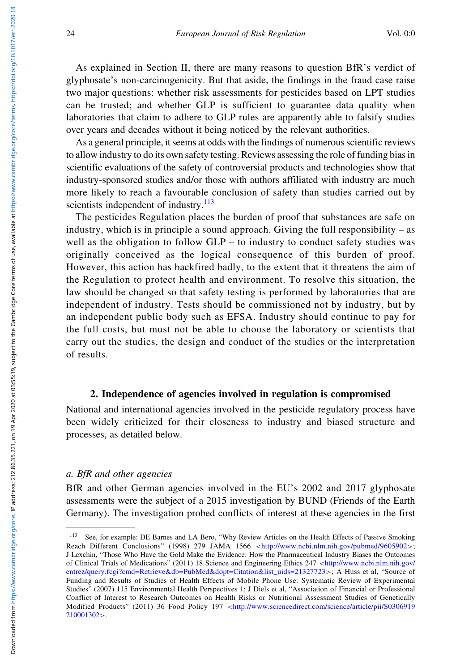As explained in Section II, there are many reasons to question BfR's verdict of glyphosate's non-carcinogenicity. But that aside, the findings in the fraud case raise two major questions: whether risk assessments for pesticides based on LPT studies can be trusted; and whether GLP is sufficient to guarantee data quality when laboratories that claim to adhere to GLP rules are apparently able to falsify studies over years and decades without it being noticed by the relevant authorities.

As a general principle, it seems at odds with the findings of numerous scientific reviews to allow industry to do its own safety testing. Reviews assessing the role of funding bias in scientific evaluations of the safety of controversial products and technologies show that industry-sponsored studies and/or those with authors affiliated with industry are much more likely to reach a favourable conclusion of safety than studies carried out by scientists independent of industry.<sup>113</sup>

The pesticides Regulation places the burden of proof that substances are safe on industry, which is in principle a sound approach. Giving the full responsibility – as well as the obligation to follow  $GLP -$  to industry to conduct safety studies was originally conceived as the logical consequence of this burden of proof. However, this action has backfired badly, to the extent that it threatens the aim of the Regulation to protect health and environment. To resolve this situation, the law should be changed so that safety testing is performed by laboratories that are independent of industry. Tests should be commissioned not by industry, but by an independent public body such as EFSA. Industry should continue to pay for the full costs, but must not be able to choose the laboratory or scientists that carry out the studies, the design and conduct of the studies or the interpretation of results.

# 2. Independence of agencies involved in regulation is compromised

National and international agencies involved in the pesticide regulatory process have been widely criticized for their closeness to industry and biased structure and processes, as detailed below.

## a. BfR and other agencies

BfR and other German agencies involved in the EU's 2002 and 2017 glyphosate assessments were the subject of a 2015 investigation by BUND (Friends of the Earth Germany). The investigation probed conflicts of interest at these agencies in the first

<sup>113</sup> See, for example: DE Barnes and LA Bero, "Why Review Articles on the Health Effects of Passive Smoking Reach Different Conclusions" (1998) 279 JAMA 1566 <<http://www.ncbi.nlm.nih.gov/pubmed/9605902>>; J Lexchin, "Those Who Have the Gold Make the Evidence: How the Pharmaceutical Industry Biases the Outcomes of Clinical Trials of Medications" (2011) 18 Science and Engineering Ethics 247 <[http://www.ncbi.nlm.nih.gov/](http://www.ncbi.nlm.nih.gov/entrez/query.fcgi?cmd=Retrieve&db=PubMed&dopt=Citation&list_uids=21327723) [entrez/query.fcgi?cmd=Retrieve&db=PubMed&dopt=Citation&list\\_uids=21327723](http://www.ncbi.nlm.nih.gov/entrez/query.fcgi?cmd=Retrieve&db=PubMed&dopt=Citation&list_uids=21327723)>; A Huss et al, "Source of Funding and Results of Studies of Health Effects of Mobile Phone Use: Systematic Review of Experimental Studies" (2007) 115 Environmental Health Perspectives 1; J Diels et al, "Association of Financial or Professional Conflict of Interest to Research Outcomes on Health Risks or Nutritional Assessment Studies of Genetically Modified Products" (2011) 36 Food Policy 197 <[http://www.sciencedirect.com/science/article/pii/S0306919](http://www.sciencedirect.com/science/article/pii/S0306919210001302) [210001302](http://www.sciencedirect.com/science/article/pii/S0306919210001302)>.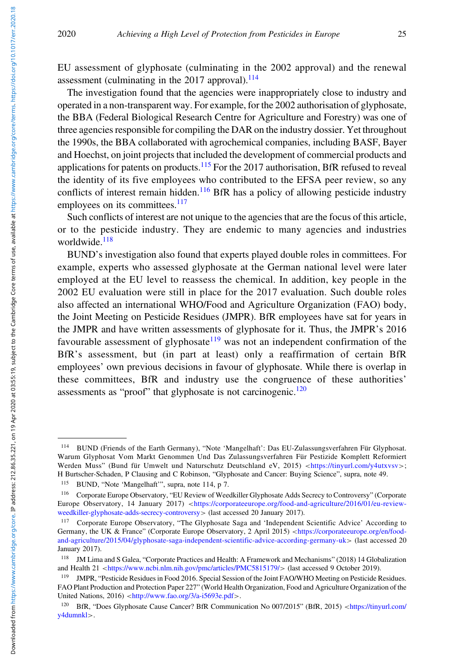Downloaded from https://www.cambridge.org/core. IP address: 2128635.221, on 19 Apr 2020 at 03:55:19, subject to the Cambridge Core terms of use, available at https://www.cambridge.org/core/terms//doi.org/10.1017/err.2020.1 Downloaded from https://www.cambridge.org/core. IP address: 21286.35.221, on 19 Apr 2020 at 03:55:19, subject to the Cambridge Core terms of use, available at https://www.cambridge.org/cloi.org/10.1017/err.2020.18

EU assessment of glyphosate (culminating in the 2002 approval) and the renewal assessment (culminating in the 2017 approval). $^{114}$ 

The investigation found that the agencies were inappropriately close to industry and operated in a non-transparent way. For example, for the 2002 authorisation of glyphosate, the BBA (Federal Biological Research Centre for Agriculture and Forestry) was one of three agencies responsible for compiling the DAR on the industry dossier. Yet throughout the 1990s, the BBA collaborated with agrochemical companies, including BASF, Bayer and Hoechst, on joint projects that included the development of commercial products and applications for patents on products.<sup>115</sup> For the 2017 authorisation, BfR refused to reveal the identity of its five employees who contributed to the EFSA peer review, so any conflicts of interest remain hidden.<sup>116</sup> BfR has a policy of allowing pesticide industry employees on its committees.<sup>117</sup>

Such conflicts of interest are not unique to the agencies that are the focus of this article, or to the pesticide industry. They are endemic to many agencies and industries worldwide.<sup>118</sup>

BUND's investigation also found that experts played double roles in committees. For example, experts who assessed glyphosate at the German national level were later employed at the EU level to reassess the chemical. In addition, key people in the 2002 EU evaluation were still in place for the 2017 evaluation. Such double roles also affected an international WHO/Food and Agriculture Organization (FAO) body, the Joint Meeting on Pesticide Residues (JMPR). BfR employees have sat for years in the JMPR and have written assessments of glyphosate for it. Thus, the JMPR's 2016 favourable assessment of glyphosate<sup>119</sup> was not an independent confirmation of the BfR's assessment, but (in part at least) only a reaffirmation of certain BfR employees' own previous decisions in favour of glyphosate. While there is overlap in these committees, BfR and industry use the congruence of these authorities' assessments as "proof" that glyphosate is not carcinogenic. $120$ 

<sup>114</sup> BUND (Friends of the Earth Germany), "Note 'Mangelhaft': Das EU-Zulassungsverfahren Für Glyphosat. Warum Glyphosat Vom Markt Genommen Und Das Zulassungsverfahren Für Pestizide Komplett Reformiert Werden Muss" (Bund für Umwelt und Naturschutz Deutschland eV, 2015) <<https://tinyurl.com/y4utxvsv>>; H Burtscher-Schaden, P Clausing and C Robinson, "Glyphosate and Cancer: Buying Science", supra, note 49.

<sup>115</sup> BUND, "Note 'Mangelhaft'", supra, note 114, p 7.

<sup>116</sup> Corporate Europe Observatory, "EU Review of Weedkiller Glyphosate Adds Secrecy to Controversy" (Corporate Europe Observatory, 14 January 2017) <[https://corporateeurope.org/food-and-agriculture/2016/01/eu-review](https://corporateeurope.org/food-and-agriculture/2016/01/eu-review-weedkiller-glyphosate-adds-secrecy-controversy)[weedkiller-glyphosate-adds-secrecy-controversy](https://corporateeurope.org/food-and-agriculture/2016/01/eu-review-weedkiller-glyphosate-adds-secrecy-controversy)> (last accessed 20 January 2017).

<sup>117</sup> Corporate Europe Observatory, "The Glyphosate Saga and 'Independent Scientific Advice' According to Germany, the UK & France" (Corporate Europe Observatory, 2 April 2015) <[https://corporateeurope.org/en/food](https://corporateeurope.org/en/food-and-agriculture/2015/04/glyphosate-saga-independent-scientific-advice-according-germany-uk)[and-agriculture/2015/04/glyphosate-saga-independent-scientific-advice-according-germany-uk](https://corporateeurope.org/en/food-and-agriculture/2015/04/glyphosate-saga-independent-scientific-advice-according-germany-uk)> (last accessed 20 January 2017).

<sup>118</sup> JM Lima and S Galea, "Corporate Practices and Health: A Framework and Mechanisms" (2018) 14 Globalization and Health 21 <<https://www.ncbi.nlm.nih.gov/pmc/articles/PMC5815179/>> (last accessed 9 October 2019).

<sup>&</sup>lt;sup>119</sup> JMPR, "Pesticide Residues in Food 2016. Special Session of the Joint FAO/WHO Meeting on Pesticide Residues. FAO Plant Production and Protection Paper 227" (World Health Organization, Food and Agriculture Organization of the United Nations, 2016) <<http://www.fao.org/3/a-i5693e.pdf>>.

<sup>120</sup> BfR, "Does Glyphosate Cause Cancer? BfR Communication No 007/2015" (BfR, 2015) <[https://tinyurl.com/](https://tinyurl.com/y4dumnkl) [y4dumnkl](https://tinyurl.com/y4dumnkl)>.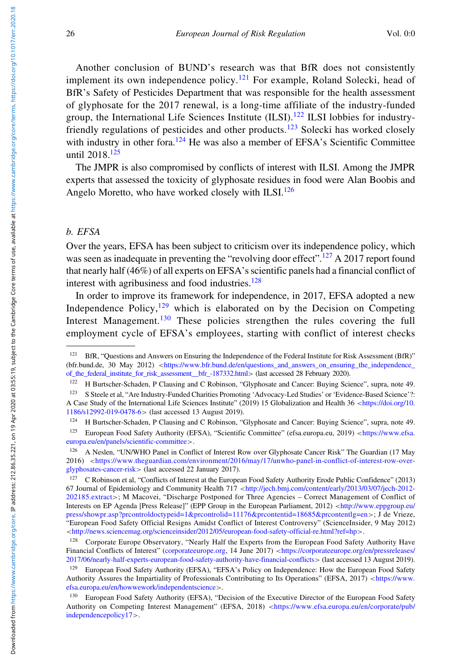Another conclusion of BUND's research was that BfR does not consistently implement its own independence policy.<sup>121</sup> For example, Roland Solecki, head of BfR's Safety of Pesticides Department that was responsible for the health assessment of glyphosate for the 2017 renewal, is a long-time affiliate of the industry-funded group, the International Life Sciences Institute  $(ILSI)$ .<sup>122</sup> ILSI lobbies for industryfriendly regulations of pesticides and other products.<sup>123</sup> Solecki has worked closely with industry in other fora.<sup>124</sup> He was also a member of EFSA's Scientific Committee until 2018.<sup>125</sup>

The JMPR is also compromised by conflicts of interest with ILSI. Among the JMPR experts that assessed the toxicity of glyphosate residues in food were Alan Boobis and Angelo Moretto, who have worked closely with ILSI.<sup>126</sup>

#### b. EFSA

Over the years, EFSA has been subject to criticism over its independence policy, which was seen as inadequate in preventing the "revolving door effect".<sup>127</sup> A 2017 report found that nearly half (46%) of all experts on EFSA's scientific panels had a financial conflict of interest with agribusiness and food industries. $128$ 

In order to improve its framework for independence, in 2017, EFSA adopted a new Independence Policy, $129$  which is elaborated on by the Decision on Competing Interest Management.<sup>130</sup> These policies strengthen the rules covering the full employment cycle of EFSA's employees, starting with conflict of interest checks

<sup>&</sup>lt;sup>121</sup> BfR, "Questions and Answers on Ensuring the Independence of the Federal Institute for Risk Assessment (BfR)"  $(b$ fr.bund.de, 30 May 2012)  $\lt$ https://www.bfr.bund.de/en/questions and answers on ensuring the independence of the federal institute for risk assessment bfr -187332.html> (last accessed 28 February 2020).

<sup>122</sup> H Burtscher-Schaden, P Clausing and C Robinson, "Glyphosate and Cancer: Buying Science", supra, note 49.

<sup>123</sup> S Steele et al, "Are Industry-Funded Charities Promoting 'Advocacy-Led Studies' or 'Evidence-Based Science'?: A Case Study of the International Life Sciences Institute" (2019) 15 Globalization and Health 36 <[https://doi.org/10.](https://doi.org/10.1186/s12992-019-0478-6) [1186/s12992-019-0478-6](https://doi.org/10.1186/s12992-019-0478-6)> (last accessed 13 August 2019).

<sup>124</sup> H Burtscher-Schaden, P Clausing and C Robinson, "Glyphosate and Cancer: Buying Science", supra, note 49.

<sup>125</sup> European Food Safety Authority (EFSA), "Scientific Committee" (efsa.europa.eu, 2019) <[https://www.efsa.](https://www.efsa.europa.eu/en/panels/scientific-committee) [europa.eu/en/panels/scientific-committee](https://www.efsa.europa.eu/en/panels/scientific-committee)>.

<sup>126</sup> A Neslen, "UN/WHO Panel in Conflict of Interest Row over Glyphosate Cancer Risk" The Guardian (17 May 2016) <[https://www.theguardian.com/environment/2016/may/17/unwho-panel-in-conflict-of-interest-row-over](https://www.theguardian.com/environment/2016/may/17/unwho-panel-in-conflict-of-interest-row-over-glyphosates-cancer-risk)[glyphosates-cancer-risk](https://www.theguardian.com/environment/2016/may/17/unwho-panel-in-conflict-of-interest-row-over-glyphosates-cancer-risk)> (last accessed 22 January 2017).

<sup>&</sup>lt;sup>127</sup> C Robinson et al, "Conflicts of Interest at the European Food Safety Authority Erode Public Confidence" (2013) 67 Journal of Epidemiology and Community Health  $717 \times$ [http://jech.bmj.com/content/early/2013/03/07/jech-2012-](http://jech.bmj.com/content/early/2013/03/07/jech-2012-202185.extract) [202185.extract](http://jech.bmj.com/content/early/2013/03/07/jech-2012-202185.extract)>; M Macovei, "Discharge Postponed for Three Agencies – Correct Management of Conflict of Interests on EP Agenda [Press Release]" (EPP Group in the European Parliament, 2012) <[http://www.eppgroup.eu/](http://www.eppgroup.eu/press/showpr.asp?prcontroldoctypeid=1&prcontrolid=11176&prcontentid=18685&prcontentlg=en) [press/showpr.asp?prcontroldoctypeid=1&prcontrolid=11176&prcontentid=18685&prcontentlg=en](http://www.eppgroup.eu/press/showpr.asp?prcontroldoctypeid=1&prcontrolid=11176&prcontentid=18685&prcontentlg=en)>; J de Vrieze, "European Food Safety Official Resigns Amidst Conflict of Interest Controversy" (ScienceInsider, 9 May 2012) <<http://news.sciencemag.org/scienceinsider/2012/05/european-food-safety-official-re.html?ref=hp>>.

<sup>128</sup> Corporate Europe Observatory, "Nearly Half the Experts from the European Food Safety Authority Have Financial Conflicts of Interest" [\(corporateeurope.org](http://corporateeurope.org), 14 June 2017) <[https://corporateeurope.org/en/pressreleases/](https://corporateeurope.org/en/pressreleases/2017/06/nearly-half-experts-european-food-safety-authority-have-financial-conflicts) [2017/06/nearly-half-experts-european-food-safety-authority-have-financial-conflicts](https://corporateeurope.org/en/pressreleases/2017/06/nearly-half-experts-european-food-safety-authority-have-financial-conflicts)> (last accessed 13 August 2019).

<sup>129</sup> European Food Safety Authority (EFSA), "EFSA's Policy on Independence: How the European Food Safety Authority Assures the Impartiality of Professionals Contributing to Its Operations" (EFSA, 2017) <[https://www.](https://www.efsa.europa.eu/en/howwework/independentscience) [efsa.europa.eu/en/howwework/independentscience](https://www.efsa.europa.eu/en/howwework/independentscience)>.

<sup>130</sup> European Food Safety Authority (EFSA), "Decision of the Executive Director of the European Food Safety Authority on Competing Interest Management" (EFSA, 2018) <[https://www.efsa.europa.eu/en/corporate/pub/](https://www.efsa.europa.eu/en/corporate/pub/independencepolicy17) [independencepolicy17](https://www.efsa.europa.eu/en/corporate/pub/independencepolicy17)>.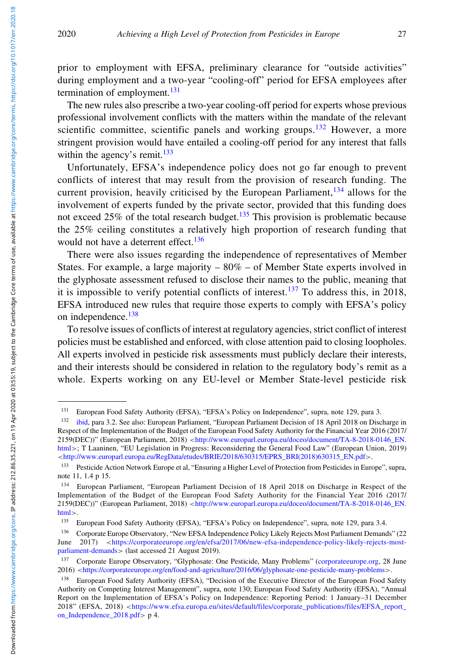Downloaded from https://www.cambridge.org/core. IP address: 2128635.221, on 19 Apr 2020 at 03:55:19, subject to the Cambridge Core terms of use, available at https://www.cambridge.org/core/terms//doi.org/10.1017/err.2020.1 Downloaded from https://www.cambridge.org/core. IP address: 21286.35.221, on 19 Apr 2020 at 03:55:19, subject to the Cambridge Core terms of use, available at https://www.cambridge.org/cloi.org/10.1017/err.2020.18

prior to employment with EFSA, preliminary clearance for "outside activities" during employment and a two-year "cooling-off" period for EFSA employees after termination of employment. $^{131}$ 

The new rules also prescribe a two-year cooling-off period for experts whose previous professional involvement conflicts with the matters within the mandate of the relevant scientific committee, scientific panels and working groups.<sup>132</sup> However, a more stringent provision would have entailed a cooling-off period for any interest that falls within the agency's remit. $133$ 

Unfortunately, EFSA's independence policy does not go far enough to prevent conflicts of interest that may result from the provision of research funding. The current provision, heavily criticised by the European Parliament,  $^{134}$  allows for the involvement of experts funded by the private sector, provided that this funding does not exceed  $25\%$  of the total research budget.<sup>135</sup> This provision is problematic because the 25% ceiling constitutes a relatively high proportion of research funding that would not have a deterrent effect.<sup>136</sup>

There were also issues regarding the independence of representatives of Member States. For example, a large majority  $-80\%$  – of Member State experts involved in the glyphosate assessment refused to disclose their names to the public, meaning that it is impossible to verify potential conflicts of interest.<sup>137</sup> To address this, in 2018, EFSA introduced new rules that require those experts to comply with EFSA's policy on independence.<sup>138</sup>

To resolve issues of conflicts of interest at regulatory agencies, strict conflict of interest policies must be established and enforced, with close attention paid to closing loopholes. All experts involved in pesticide risk assessments must publicly declare their interests, and their interests should be considered in relation to the regulatory body's remit as a whole. Experts working on any EU-level or Member State-level pesticide risk

<sup>131</sup> European Food Safety Authority (EFSA), "EFSA's Policy on Independence", supra, note 129, para 3.

<sup>&</sup>lt;sup>132</sup> ibid, para 3.2. See also: European Parliament, "European Parliament Decision of 18 April 2018 on Discharge in Respect of the Implementation of the Budget of the European Food Safety Authority for the Financial Year 2016 (2017/ 2159(DEC))" (European Parliament, 2018) <[http://www.europarl.europa.eu/doceo/document/TA-8-2018-0146\\_EN.](http://www.europarl.europa.eu/doceo/document/TA-8-2018-0146_EN.html) [html](http://www.europarl.europa.eu/doceo/document/TA-8-2018-0146_EN.html)>; T Laaninen, "EU Legislation in Progress: Reconsidering the General Food Law" (European Union, 2019) <[http://www.europarl.europa.eu/RegData/etudes/BRIE/2018/630315/EPRS\\_BRI\(2018\)630315\\_EN.pdf](http://www.europarl.europa.eu/RegData/etudes/BRIE/2018/630315/EPRS_BRI(2018)630315_EN.pdf)>.

<sup>133</sup> Pesticide Action Network Europe et al, "Ensuring a Higher Level of Protection from Pesticides in Europe", supra, note 11, 1.4 p 15.

<sup>134</sup> European Parliament, "European Parliament Decision of 18 April 2018 on Discharge in Respect of the Implementation of the Budget of the European Food Safety Authority for the Financial Year 2016 (2017/ 2159(DEC))" (European Parliament, 2018) <[http://www.europarl.europa.eu/doceo/document/TA-8-2018-0146\\_EN.](http://www.europarl.europa.eu/doceo/document/TA-8-2018-0146_EN.html) [html](http://www.europarl.europa.eu/doceo/document/TA-8-2018-0146_EN.html)>.

<sup>135</sup> European Food Safety Authority (EFSA), "EFSA's Policy on Independence", supra, note 129, para 3.4.

<sup>136</sup> Corporate Europe Observatory, "New EFSA Independence Policy Likely Rejects Most Parliament Demands" (22 June 2017) <[https://corporateeurope.org/en/efsa/2017/06/new-efsa-independence-policy-likely-rejects-most](https://corporateeurope.org/en/efsa/2017/06/new-efsa-independence-policy-likely-rejects-most-parliament-demands)[parliament-demands](https://corporateeurope.org/en/efsa/2017/06/new-efsa-independence-policy-likely-rejects-most-parliament-demands)> (last accessed 21 August 2019).

<sup>137</sup> Corporate Europe Observatory, "Glyphosate: One Pesticide, Many Problems" ([corporateeurope.org,](http://corporateeurope.org) 28 June 2016) <<https://corporateeurope.org/en/food-and-agriculture/2016/06/glyphosate-one-pesticide-many-problems>>.

<sup>138</sup> European Food Safety Authority (EFSA), "Decision of the Executive Director of the European Food Safety Authority on Competing Interest Management", supra, note 130; European Food Safety Authority (EFSA), "Annual Report on the Implementation of EFSA's Policy on Independence: Reporting Period: 1 January–31 December 2018" (EFSA, 2018) <[https://www.efsa.europa.eu/sites/default/files/corporate\\_publications/files/EFSA\\_report\\_](https://www.efsa.europa.eu/sites/default/files/corporate_publications/files/EFSA_report_on_Independence_2018.pdf) [on\\_Independence\\_2018.pdf](https://www.efsa.europa.eu/sites/default/files/corporate_publications/files/EFSA_report_on_Independence_2018.pdf)> p 4.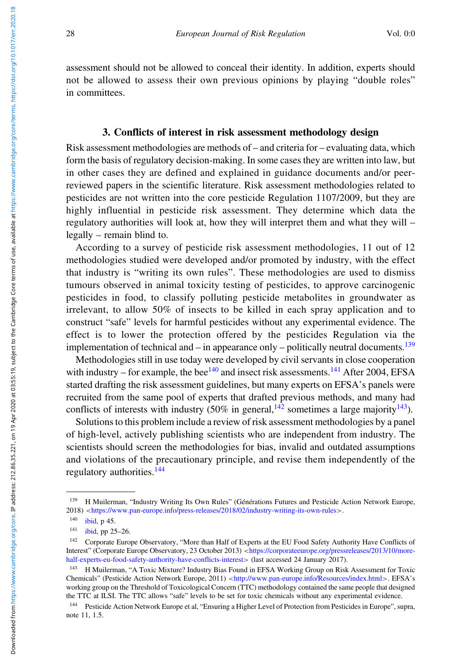assessment should not be allowed to conceal their identity. In addition, experts should not be allowed to assess their own previous opinions by playing "double roles" in committees.

# 3. Conflicts of interest in risk assessment methodology design

Risk assessment methodologies are methods of – and criteria for – evaluating data, which form the basis of regulatory decision-making. In some cases they are written into law, but in other cases they are defined and explained in guidance documents and/or peerreviewed papers in the scientific literature. Risk assessment methodologies related to pesticides are not written into the core pesticide Regulation 1107/2009, but they are highly influential in pesticide risk assessment. They determine which data the regulatory authorities will look at, how they will interpret them and what they will – legally – remain blind to.

According to a survey of pesticide risk assessment methodologies, 11 out of 12 methodologies studied were developed and/or promoted by industry, with the effect that industry is "writing its own rules". These methodologies are used to dismiss tumours observed in animal toxicity testing of pesticides, to approve carcinogenic pesticides in food, to classify polluting pesticide metabolites in groundwater as irrelevant, to allow 50% of insects to be killed in each spray application and to construct "safe" levels for harmful pesticides without any experimental evidence. The effect is to lower the protection offered by the pesticides Regulation via the implementation of technical and  $-$  in appearance only  $-$  politically neutral documents.<sup>139</sup>

Methodologies still in use today were developed by civil servants in close cooperation with industry – for example, the bee $140$  and insect risk assessments.<sup>141</sup> After 2004, EFSA started drafting the risk assessment guidelines, but many experts on EFSA's panels were recruited from the same pool of experts that drafted previous methods, and many had conflicts of interests with industry  $(50\%$  in general,  $\frac{142}{2}$  sometimes a large majority<sup>143</sup>).

Solutions to this problem include a review of risk assessment methodologies by a panel of high-level, actively publishing scientists who are independent from industry. The scientists should screen the methodologies for bias, invalid and outdated assumptions and violations of the precautionary principle, and revise them independently of the regulatory authorities.144

<sup>139</sup> H Muilerman, "Industry Writing Its Own Rules" (Générations Futures and Pesticide Action Network Europe, 2018) <<https://www.pan-europe.info/press-releases/2018/02/industry-writing-its-own-rules>>.

<sup>140</sup> ibid, p 45.

<sup>141</sup> ibid, pp 25–26.

<sup>142</sup> Corporate Europe Observatory, "More than Half of Experts at the EU Food Safety Authority Have Conflicts of Interest" (Corporate Europe Observatory, 23 October 2013) <[https://corporateeurope.org/pressreleases/2013/10/more](https://corporateeurope.org/pressreleases/2013/10/more-half-experts-eu-food-safety-authority-have-conflicts-interest)[half-experts-eu-food-safety-authority-have-conflicts-interest](https://corporateeurope.org/pressreleases/2013/10/more-half-experts-eu-food-safety-authority-have-conflicts-interest)> (last accessed 24 January 2017).

<sup>143</sup> H Muilerman, "A Toxic Mixture? Industry Bias Found in EFSA Working Group on Risk Assessment for Toxic Chemicals" (Pesticide Action Network Europe, 2011) <<http://www.pan-europe.info/Resources/index.html>>. EFSA's working group on the Threshold of Toxicological Concern (TTC) methodology contained the same people that designed the TTC at ILSI. The TTC allows "safe" levels to be set for toxic chemicals without any experimental evidence.

<sup>144</sup> Pesticide Action Network Europe et al, "Ensuring a Higher Level of Protection from Pesticides in Europe", supra, note 11, 1.5.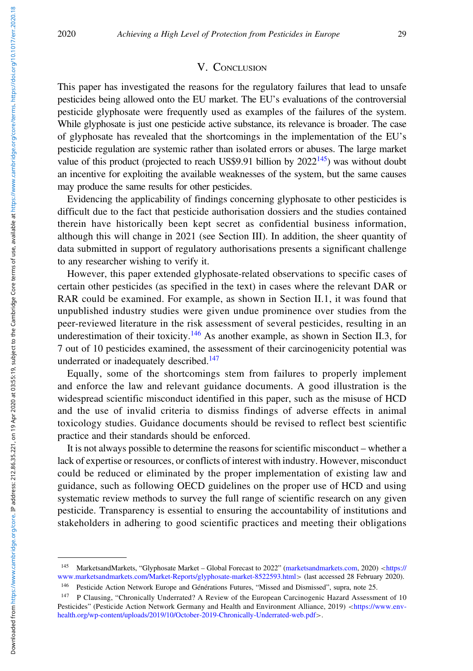# V. CONCLUSION

This paper has investigated the reasons for the regulatory failures that lead to unsafe pesticides being allowed onto the EU market. The EU's evaluations of the controversial pesticide glyphosate were frequently used as examples of the failures of the system. While glyphosate is just one pesticide active substance, its relevance is broader. The case of glyphosate has revealed that the shortcomings in the implementation of the EU's pesticide regulation are systemic rather than isolated errors or abuses. The large market value of this product (projected to reach US\$9.91 billion by  $2022^{145}$ ) was without doubt an incentive for exploiting the available weaknesses of the system, but the same causes may produce the same results for other pesticides.

Evidencing the applicability of findings concerning glyphosate to other pesticides is difficult due to the fact that pesticide authorisation dossiers and the studies contained therein have historically been kept secret as confidential business information, although this will change in 2021 (see Section III). In addition, the sheer quantity of data submitted in support of regulatory authorisations presents a significant challenge to any researcher wishing to verify it.

However, this paper extended glyphosate-related observations to specific cases of certain other pesticides (as specified in the text) in cases where the relevant DAR or RAR could be examined. For example, as shown in Section II.1, it was found that unpublished industry studies were given undue prominence over studies from the peer-reviewed literature in the risk assessment of several pesticides, resulting in an underestimation of their toxicity.<sup>146</sup> As another example, as shown in Section II.3, for 7 out of 10 pesticides examined, the assessment of their carcinogenicity potential was underrated or inadequately described.<sup>147</sup>

Equally, some of the shortcomings stem from failures to properly implement and enforce the law and relevant guidance documents. A good illustration is the widespread scientific misconduct identified in this paper, such as the misuse of HCD and the use of invalid criteria to dismiss findings of adverse effects in animal toxicology studies. Guidance documents should be revised to reflect best scientific practice and their standards should be enforced.

It is not always possible to determine the reasons for scientific misconduct – whether a lack of expertise or resources, or conflicts of interest with industry. However, misconduct could be reduced or eliminated by the proper implementation of existing law and guidance, such as following OECD guidelines on the proper use of HCD and using systematic review methods to survey the full range of scientific research on any given pesticide. Transparency is essential to ensuring the accountability of institutions and stakeholders in adhering to good scientific practices and meeting their obligations

<sup>145</sup> MarketsandMarkets, "Glyphosate Market – Global Forecast to 2022" ([marketsandmarkets.com,](http://marketsandmarkets.com) 2020) <[https://](https://www.marketsandmarkets.com/Market-Reports/glyphosate-market-8522593.html) [www.marketsandmarkets.com/Market-Reports/glyphosate-market-8522593.html](https://www.marketsandmarkets.com/Market-Reports/glyphosate-market-8522593.html)> (last accessed 28 February 2020).

<sup>146</sup> Pesticide Action Network Europe and Générations Futures, "Missed and Dismissed", supra, note 25.

<sup>147</sup> P Clausing, "Chronically Underrated? A Review of the European Carcinogenic Hazard Assessment of 10 Pesticides" (Pesticide Action Network Germany and Health and Environment Alliance, 2019) <[https://www.env](https://www.env-health.org/wp-content/uploads/2019/10/October-2019-Chronically-Underrated-web.pdf)[health.org/wp-content/uploads/2019/10/October-2019-Chronically-Underrated-web.pdf](https://www.env-health.org/wp-content/uploads/2019/10/October-2019-Chronically-Underrated-web.pdf)>.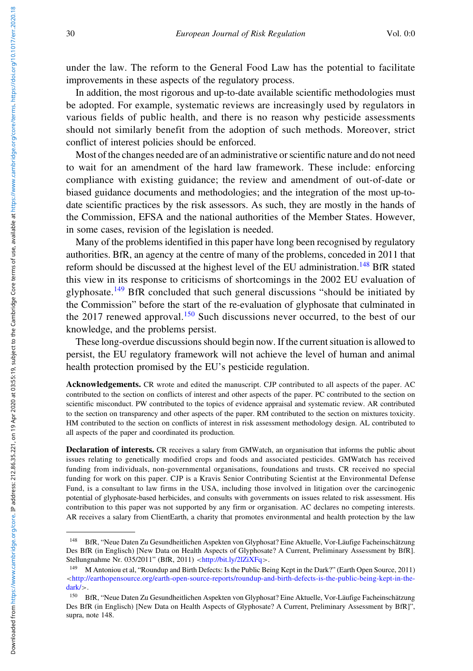under the law. The reform to the General Food Law has the potential to facilitate improvements in these aspects of the regulatory process.

In addition, the most rigorous and up-to-date available scientific methodologies must be adopted. For example, systematic reviews are increasingly used by regulators in various fields of public health, and there is no reason why pesticide assessments should not similarly benefit from the adoption of such methods. Moreover, strict conflict of interest policies should be enforced.

Most of the changes needed are of an administrative or scientific nature and do not need to wait for an amendment of the hard law framework. These include: enforcing compliance with existing guidance; the review and amendment of out-of-date or biased guidance documents and methodologies; and the integration of the most up-todate scientific practices by the risk assessors. As such, they are mostly in the hands of the Commission, EFSA and the national authorities of the Member States. However, in some cases, revision of the legislation is needed.

Many of the problems identified in this paper have long been recognised by regulatory authorities. BfR, an agency at the centre of many of the problems, conceded in 2011 that reform should be discussed at the highest level of the EU administration.<sup>148</sup> BfR stated this view in its response to criticisms of shortcomings in the 2002 EU evaluation of glyphosate.<sup>149</sup> BfR concluded that such general discussions "should be initiated by the Commission" before the start of the re-evaluation of glyphosate that culminated in the 2017 renewed approval.<sup>150</sup> Such discussions never occurred, to the best of our knowledge, and the problems persist.

These long-overdue discussions should begin now. If the current situation is allowed to persist, the EU regulatory framework will not achieve the level of human and animal health protection promised by the EU's pesticide regulation.

Acknowledgements. CR wrote and edited the manuscript. CJP contributed to all aspects of the paper. AC contributed to the section on conflicts of interest and other aspects of the paper. PC contributed to the section on scientific misconduct. PW contributed to the topics of evidence appraisal and systematic review. AR contributed to the section on transparency and other aspects of the paper. RM contributed to the section on mixtures toxicity. HM contributed to the section on conflicts of interest in risk assessment methodology design. AL contributed to all aspects of the paper and coordinated its production.

Declaration of interests. CR receives a salary from GMWatch, an organisation that informs the public about issues relating to genetically modified crops and foods and associated pesticides. GMWatch has received funding from individuals, non-governmental organisations, foundations and trusts. CR received no special funding for work on this paper. CJP is a Kravis Senior Contributing Scientist at the Environmental Defense Fund, is a consultant to law firms in the USA, including those involved in litigation over the carcinogenic potential of glyphosate-based herbicides, and consults with governments on issues related to risk assessment. His contribution to this paper was not supported by any firm or organisation. AC declares no competing interests. AR receives a salary from ClientEarth, a charity that promotes environmental and health protection by the law

<sup>148</sup> BfR, "Neue Daten Zu Gesundheitlichen Aspekten von Glyphosat? Eine Aktuelle, Vor-Läufige Facheinschätzung Des BfR (in Englisch) [New Data on Health Aspects of Glyphosate? A Current, Preliminary Assessment by BfR]. Stellungnahme Nr. 035/2011" (BfR, 2011) <<http://bit.ly/2lZiXFq>>.

<sup>149</sup> M Antoniou et al, "Roundup and Birth Defects: Is the Public Being Kept in the Dark?" (Earth Open Source, 2011)  $\langle$ [http://earthopensource.org/earth-open-source-reports/roundup-and-birth-defects-is-the-public-being-kept-in-the](http://earthopensource.org/earth-open-source-reports/roundup-and-birth-defects-is-the-public-being-kept-in-the-dark/)[dark/](http://earthopensource.org/earth-open-source-reports/roundup-and-birth-defects-is-the-public-being-kept-in-the-dark/)>.

<sup>150</sup> BfR, "Neue Daten Zu Gesundheitlichen Aspekten von Glyphosat? Eine Aktuelle, Vor-Läufige Facheinschätzung Des BfR (in Englisch) [New Data on Health Aspects of Glyphosate? A Current, Preliminary Assessment by BfR]", supra, note 148.